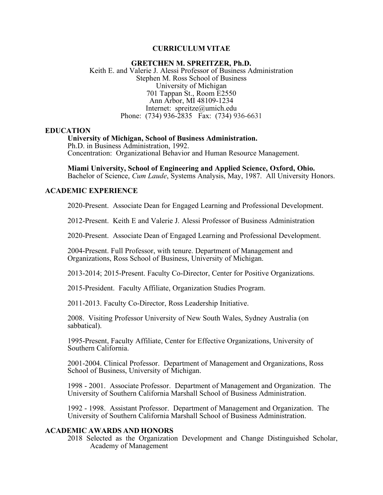## **CURRICULUM VITAE**

### **GRETCHEN M. SPREITZER, Ph.D.** Keith E. and Valerie J. Alessi Professor of Business Administration Stephen M. Ross School of Business University of Michigan 701 Tappan St., Room E2550 Ann Arbor, MI 48109-1234 Internet: spreitze@umich.edu Phone: (734) 936-2835 Fax: (734) 936-6631

#### **EDUCATION**

## **University of Michigan, School of Business Administration.**

Ph.D. in Business Administration, 1992. Concentration: Organizational Behavior and Human Resource Management.

**Miami University, School of Engineering and Applied Science, Oxford, Ohio.** Bachelor of Science, *Cum Laude*, Systems Analysis, May, 1987. All University Honors.

## **ACADEMIC EXPERIENCE**

2020-Present. Associate Dean for Engaged Learning and Professional Development.

2012-Present. Keith E and Valerie J. Alessi Professor of Business Administration

2020-Present. Associate Dean of Engaged Learning and Professional Development.

2004-Present. Full Professor, with tenure. Department of Management and Organizations, Ross School of Business, University of Michigan.

2013-2014; 2015-Present. Faculty Co-Director, Center for Positive Organizations.

2015-President. Faculty Affiliate, Organization Studies Program.

2011-2013. Faculty Co-Director, Ross Leadership Initiative.

2008. Visiting Professor University of New South Wales, Sydney Australia (on sabbatical).

1995-Present, Faculty Affiliate, Center for Effective Organizations, University of Southern California.

2001-2004. Clinical Professor. Department of Management and Organizations, Ross School of Business, University of Michigan.

1998 - 2001. Associate Professor. Department of Management and Organization. The University of Southern California Marshall School of Business Administration.

1992 - 1998. Assistant Professor. Department of Management and Organization. The University of Southern California Marshall School of Business Administration.

### **ACADEMIC AWARDS AND HONORS**

2018 Selected as the Organization Development and Change Distinguished Scholar, Academy of Management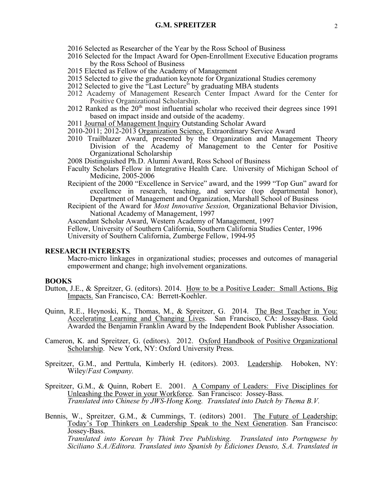- 2016 Selected as Researcher of the Year by the Ross School of Business
- 2016 Selected for the Impact Award for Open-Enrollment Executive Education programs by the Ross School of Business
- 2015 Elected as Fellow of the Academy of Management
- 2015 Selected to give the graduation keynote for Organizational Studies ceremony
- 2012 Selected to give the "Last Lecture" by graduating MBA students
- 2012 Academy of Management Research Center Impact Award for the Center for Positive Organizational Scholarship.
- 2012 Ranked as the  $20<sup>th</sup>$  most influential scholar who received their degrees since 1991 based on impact inside and outside of the academy.
- 2011 Journal of Management Inquiry Outstanding Scholar Award
- 2010-2011; 2012-2013 Organization Science, Extraordinary Service Award
- 2010 Trailblazer Award, presented by the Organization and Management Theory Division of the Academy of Management to the Center for Positive Organizational Scholarship
- 2008 Distinguished Ph.D. Alumni Award, Ross School of Business
- Faculty Scholars Fellow in Integrative Health Care. University of Michigan School of Medicine, 2005-2006
- Recipient of the 2000 "Excellence in Service" award, and the 1999 "Top Gun" award for excellence in research, teaching, and service (top departmental honor), Department of Management and Organization, Marshall School of Business
- Recipient of the Award for *Most Innovative Session,* Organizational Behavior Division, National Academy of Management, 1997

Ascendant Scholar Award, Western Academy of Management, 1997

Fellow, University of Southern California, Southern California Studies Center, 1996 University of Southern California, Zumberge Fellow, 1994-95

### **RESEARCH INTERESTS**

Macro-micro linkages in organizational studies; processes and outcomes of managerial empowerment and change; high involvement organizations.

#### **BOOKS**

- Dutton, J.E., & Spreitzer, G. (editors). 2014. How to be a Positive Leader: Small Actions, Big Impacts. San Francisco, CA: Berrett-Koehler.
- Quinn, R.E., Heynoski, K., Thomas, M., & Spreitzer, G. 2014. The Best Teacher in You: Accelerating Learning and Changing Lives. San Francisco, CA: Jossey-Bass. Gold Awarded the Benjamin Franklin Award by the Independent Book Publisher Association.
- Cameron, K. and Spreitzer, G. (editors). 2012. Oxford Handbook of Positive Organizational Scholarship. New York, NY: Oxford University Press.
- Spreitzer, G.M., and Perttula, Kimberly H. (editors). 2003. Leadership. Hoboken, NY: Wiley/*Fast Company.*
- Spreitzer, G.M., & Quinn, Robert E. 2001. A Company of Leaders: Five Disciplines for Unleashing the Power in your Workforce. San Francisco: Jossey-Bass. *Translated into Chinese by JWS-Hong Kong. Translated into Dutch by Thema B.V.*
- Bennis, W., Spreitzer, G.M., & Cummings, T. (editors) 2001. The Future of Leadership: Today's Top Thinkers on Leadership Speak to the Next Generation. San Francisco: Jossey-Bass. *Translated into Korean by Think Tree Publishing. Translated into Portuguese by Siciliano S.A./Editora. Translated into Spanish by Ediciones Deusto, S.A. Translated in*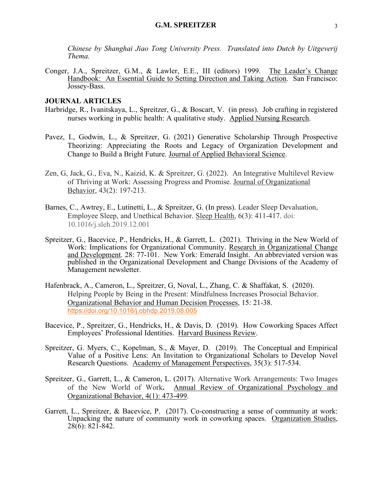*Chinese by Shanghai Jiao Tong University Press. Translated into Dutch by Uitgeverij Thema.*

Conger, J.A., Spreitzer, G.M., & Lawler, E.E., III (editors) 1999. The Leader's Change Handbook: An Essential Guide to Setting Direction and Taking Action. San Francisco: Jossey-Bass.

## **JOURNAL ARTICLES**

- Harbridge, R., Ivanitskaya, L., Spreitzer, G., & Boscart, V. (in press). Job crafting in registered nurses working in public health: A qualitative study. Applied Nursing Research.
- Pavez, I., Godwin, L., & Spreitzer, G. (2021) Generative Scholarship Through Prospective Theorizing: Appreciating the Roots and Legacy of Organization Development and Change to Build a Bright Future. Journal of Applied Behavioral Science.
- Zen, G, Jack, G., Eva, N., Kaizid, K. & Spreitzer, G. (2022). An Integrative Multilevel Review of Thriving at Work: Assessing Progress and Promise. Journal of Organizational Behavior, 43(2): 197-213.
- Barnes, C., Awtrey, E., Lutinetti, L., & Spreitzer, G. (In press). Leader Sleep Devaluation, Employee Sleep, and Unethical Behavior. Sleep Health, 6(3): 411-417. doi: 10.1016/j.sleh.2019.12.001
- Spreitzer, G., Bacevice, P., Hendricks, H., & Garrett, L. (2021). Thriving in the New World of Work: Implications for Organizational Community. Research in Organizational Change and Development. 28: 77-101. New York: Emerald Insight. An abbreviated version was published in the Organizational Development and Change Divisions of the Academy of Management newsletter.
- Hafenbrack, A., Cameron, L., Spreitzer, G, Noval, L., Zhang, C. & Shaffakat, S. (2020). Helping People by Being in the Present: Mindfulness Increases Prosocial Behavior. Organizational Behavior and Human Decision Processes, 15: 21-38. https://doi.org/10.1016/j.obhdp.2019.08.005
- Bacevice, P., Spreitzer, G., Hendricks, H., & Davis, D. (2019). How Coworking Spaces Affect Employees' Professional Identities. Harvard Business Review.
- Spreitzer, G. Myers, C., Kopelman, S., & Mayer, D. (2019). The Conceptual and Empirical Value of a Positive Lens: An Invitation to Organizational Scholars to Develop Novel Research Questions. Academy of Management Perspectives, 35(3): 517-534.
- Spreitzer, G., Garrett, L., & Cameron, L. (2017). Alternative Work Arrangements: Two Images of the New World of Work**.** Annual Review of Organizational Psychology and Organizational Behavior, 4(1): 473-499.
- Garrett, L., Spreitzer, & Bacevice, P. (2017). Co-constructing a sense of community at work: Unpacking the nature of community work in coworking spaces. Organization Studies,  $28(6)$ : 821-842.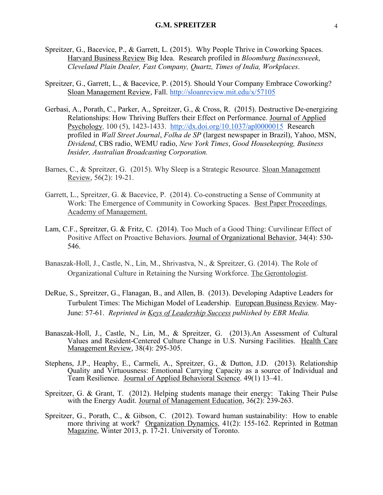- Spreitzer, G., Bacevice, P., & Garrett, L. (2015). Why People Thrive in Coworking Spaces. Harvard Business Review Big Idea. Research profiled in *Bloomburg Businessweek*, *Cleveland Plain Dealer, Fast Company, Quartz, Times of India, Workplaces*.
- Spreitzer, G., Garrett, L., & Bacevice, P. (2015). Should Your Company Embrace Coworking? Sloan Management Review, Fall. http://sloanreview.mit.edu/x/57105
- Gerbasi, A., Porath, C., Parker, A., Spreitzer, G., & Cross, R. (2015). Destructive De-energizing Relationships: How Thriving Buffers their Effect on Performance. Journal of Applied Psychology, 100 (5), 1423-1433. http://dx.doi.org/10.1037/apl0000015 Research profiled in *Wall Street Journal*, *Folha de SP* (largest newspaper in Brazil), Yahoo, MSN, *Dividend*, CBS radio, WEMU radio, *New York Times*, *Good Housekeeping, Business Insider, Australian Broadcasting Corporation.*
- Barnes, C., & Spreitzer, G. (2015). Why Sleep is a Strategic Resource. Sloan Management Review, 56(2): 19-21.
- Garrett, L., Spreitzer, G. & Bacevice, P. (2014). Co-constructing a Sense of Community at Work: The Emergence of Community in Coworking Spaces. Best Paper Proceedings. Academy of Management.
- Lam, C.F., Spreitzer, G. & Fritz, C. (2014). Too Much of a Good Thing: Curvilinear Effect of Positive Affect on Proactive Behaviors. Journal of Organizational Behavior, 34(4): 530- 546.
- Banaszak-Holl, J., Castle, N., Lin, M., Shrivastva, N., & Spreitzer, G. (2014). The Role of Organizational Culture in Retaining the Nursing Workforce. The Gerontologist.
- DeRue, S., Spreitzer, G., Flanagan, B., and Allen, B. (2013). Developing Adaptive Leaders for Turbulent Times: The Michigan Model of Leadership. European Business Review. May-June: 57-61. *Reprinted in Keys of Leadership Success published by EBR Media.*
- Banaszak-Holl, J., Castle, N., Lin, M., & Spreitzer, G. (2013).An Assessment of Cultural Values and Resident-Centered Culture Change in U.S. Nursing Facilities. Health Care Management Review, 38(4): 295-305.
- Stephens, J.P., Heaphy, E., Carmeli, A., Spreitzer, G., & Dutton, J.D. (2013). Relationship Quality and Virtuousness: Emotional Carrying Capacity as a source of Individual and Team Resilience. Journal of Applied Behavioral Science. 49(1) 13–41.
- Spreitzer, G. & Grant, T. (2012). Helping students manage their energy: Taking Their Pulse with the Energy Audit. Journal of Management Education, 36(2): 239-263.
- Spreitzer, G., Porath, C., & Gibson, C. (2012). Toward human sustainability: How to enable more thriving at work? Organization Dynamics, 41(2): 155-162. Reprinted in Rotman Magazine, Winter 2013, p. 17-21. University of Toronto.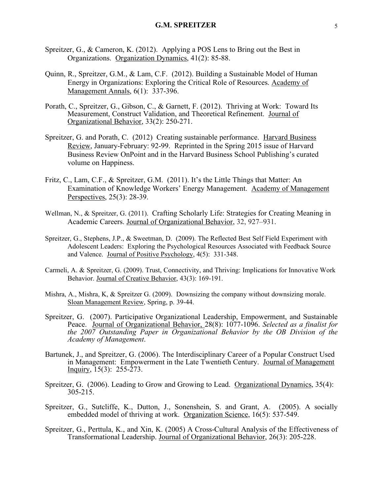- Spreitzer, G., & Cameron, K. (2012). Applying a POS Lens to Bring out the Best in Organizations. Organization Dynamics, 41(2): 85-88.
- Quinn, R., Spreitzer, G.M., & Lam, C.F. (2012). Building a Sustainable Model of Human Energy in Organizations: Exploring the Critical Role of Resources. Academy of Management Annals, 6(1): 337-396.
- Porath, C., Spreitzer, G., Gibson, C., & Garnett, F. (2012). Thriving at Work: Toward Its Measurement, Construct Validation, and Theoretical Refinement. Journal of Organizational Behavior, 33(2): 250-271.
- Spreitzer, G. and Porath, C. (2012) Creating sustainable performance. Harvard Business Review, January-February: 92-99. Reprinted in the Spring 2015 issue of Harvard Business Review OnPoint and in the Harvard Business School Publishing's curated volume on Happiness.
- Fritz, C., Lam, C.F., & Spreitzer, G.M. (2011). It's the Little Things that Matter: An Examination of Knowledge Workers' Energy Management. Academy of Management Perspectives, 25(3): 28-39.
- Wellman, N., & Spreitzer, G. (2011). Crafting Scholarly Life: Strategies for Creating Meaning in Academic Careers. Journal of Organizational Behavior, 32, 927–931.
- Spreitzer, G., Stephens, J.P., & Sweetman, D. (2009). The Reflected Best Self Field Experiment with Adolescent Leaders: Exploring the Psychological Resources Associated with Feedback Source and Valence. Journal of Positive Psychology, 4(5): 331-348.
- Carmeli, A. & Spreitzer, G. (2009). Trust, Connectivity, and Thriving: Implications for Innovative Work Behavior. Journal of Creative Behavior, 43(3): 169-191.
- Mishra, A., Mishra, K, & Spreitzer G. (2009). Downsizing the company without downsizing morale. Sloan Management Review, Spring, p. 39-44.
- Spreitzer, G. (2007). Participative Organizational Leadership, Empowerment, and Sustainable Peace. Journal of Organizational Behavior, 28(8): 1077-1096. *Selected as a finalist for the 2007 Outstanding Paper in Organizational Behavior by the OB Division of the Academy of Management*.
- Bartunek, J., and Spreitzer, G. (2006). The Interdisciplinary Career of a Popular Construct Used in Management: Empowerment in the Late Twentieth Century. Journal of Management Inquiry,  $15(3)$ :  $255-273$ .
- Spreitzer, G. (2006). Leading to Grow and Growing to Lead. Organizational Dynamics, 35(4):  $305 - 215$ .
- Spreitzer, G., Sutcliffe, K., Dutton, J., Sonenshein, S. and Grant, A. (2005). A socially embedded model of thriving at work. Organization Science, 16(5): 537-549.
- Spreitzer, G., Perttula, K., and Xin, K. (2005) A Cross-Cultural Analysis of the Effectiveness of Transformational Leadership. Journal of Organizational Behavior, 26(3): 205-228.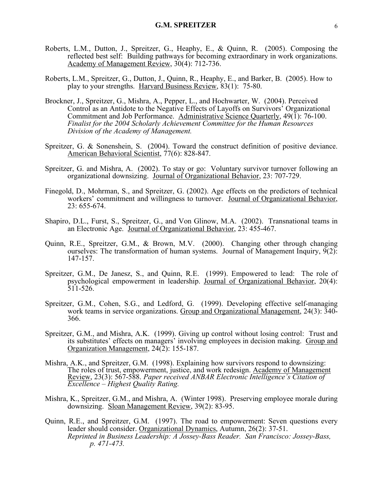- Roberts, L.M., Dutton, J., Spreitzer, G., Heaphy, E., & Quinn, R. (2005). Composing the reflected best self: Building pathways for becoming extraordinary in work organizations. Academy of Management Review, 30(4): 712-736.
- Roberts, L.M., Spreitzer, G., Dutton, J., Quinn, R., Heaphy, E., and Barker, B. (2005). How to play to your strengths. Harvard Business Review, 83(1): 75-80.
- Brockner, J., Spreitzer, G., Mishra, A., Pepper, L., and Hochwarter, W. (2004). Perceived Control as an Antidote to the Negative Effects of Layoffs on Survivors' Organizational Commitment and Job Performance. Administrative Science Quarterly,  $49(1)$ : 76-100. *Finalist for the 2004 Scholarly Achievement Committee for the Human Resources Division of the Academy of Management.*
- Spreitzer, G. & Sonenshein, S. (2004). Toward the construct definition of positive deviance. American Behavioral Scientist, 77(6): 828-847.
- Spreitzer, G. and Mishra, A. (2002). To stay or go: Voluntary survivor turnover following an organizational downsizing. Journal of Organizational Behavior, 23: 707-729.
- Finegold, D., Mohrman, S., and Spreitzer, G. (2002). Age effects on the predictors of technical workers' commitment and willingness to turnover. Journal of Organizational Behavior, 23: 655-674.
- Shapiro, D.L., Furst, S., Spreitzer, G., and Von Glinow, M.A. (2002). Transnational teams in an Electronic Age. Journal of Organizational Behavior, 23: 455-467.
- Quinn, R.E., Spreitzer, G.M., & Brown, M.V. (2000). Changing other through changing ourselves: The transformation of human systems. Journal of Management Inquiry,  $9(2)$ : 147-157.
- Spreitzer, G.M., De Janesz, S., and Quinn, R.E. (1999). Empowered to lead: The role of psychological empowerment in leadership. Journal of Organizational Behavior, 20(4): 511-526.
- Spreitzer, G.M., Cohen, S.G., and Ledford, G. (1999). Developing effective self-managing work teams in service organizations. Group and Organizational Management, 24(3): 340- 366.
- Spreitzer, G.M., and Mishra, A.K. (1999). Giving up control without losing control: Trust and its substitutes' effects on managers' involving employees in decision making. Group and Organization Management, 24(2): 155-187.
- Mishra, A.K., and Spreitzer, G.M. (1998). Explaining how survivors respond to downsizing: The roles of trust, empowerment, justice, and work redesign. Academy of Management Review, 23(3): 567-588. *Paper received ANBAR Electronic Intelligence's Citation of Excellence – Highest Quality Rating.*
- Mishra, K., Spreitzer, G.M., and Mishra, A. (Winter 1998). Preserving employee morale during downsizing. Sloan Management Review, 39(2): 83-95.
- Quinn, R.E., and Spreitzer, G.M. (1997). The road to empowerment: Seven questions every leader should consider. Organizational Dynamics, Autumn, 26(2): 37-51. *Reprinted in Business Leadership: A Jossey-Bass Reader. San Francisco: Jossey-Bass, p. 471-473.*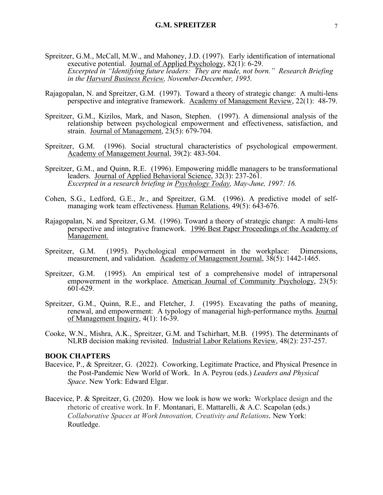- Spreitzer, G.M., McCall, M.W., and Mahoney, J.D. (1997). Early identification of international executive potential. Journal of Applied Psychology, 82(1): 6-29. *Excerpted in "Identifying future leaders: They are made, not born." Research Briefing in the Harvard Business Review, November-December, 1995.*
- Rajagopalan, N. and Spreitzer, G.M. (1997). Toward a theory of strategic change: A multi-lens perspective and integrative framework. Academy of Management Review, 22(1): 48-79.
- Spreitzer, G.M., Kizilos, Mark, and Nason, Stephen. (1997). A dimensional analysis of the relationship between psychological empowerment and effectiveness, satisfaction, and strain. Journal of Management, 23(5): 679-704.
- Spreitzer, G.M. (1996). Social structural characteristics of psychological empowerment. Academy of Management Journal, 39(2): 483-504.
- Spreitzer, G.M., and Quinn, R.E. (1996). Empowering middle managers to be transformational leaders. Journal of Applied Behavioral Science, 32(3): 237-261. *Excerpted in a research briefing in Psychology Today, May-June, 1997: 16.*
- Cohen, S.G., Ledford, G.E., Jr., and Spreitzer, G.M. (1996). A predictive model of self- managing work team effectiveness. Human Relations, 49(5): 643-676.
- Rajagopalan, N. and Spreitzer, G.M. (1996). Toward a theory of strategic change: A multi-lens perspective and integrative framework. 1996 Best Paper Proceedings of the Academy of Management.
- Spreitzer, G.M. (1995). Psychological empowerment in the workplace: Dimensions, measurement, and validation. Academy of Management Journal, 38(5): 1442-1465.
- Spreitzer, G.M. (1995). An empirical test of a comprehensive model of intrapersonal empowerment in the workplace. American Journal of Community Psychology, 23(5): 601-629.
- Spreitzer, G.M., Quinn, R.E., and Fletcher, J. (1995). Excavating the paths of meaning, renewal, and empowerment: A typology of managerial high-performance myths. Journal of Management Inquiry, 4(1): 16-39.
- Cooke, W.N., Mishra, A.K., Spreitzer, G.M. and Tschirhart, M.B. (1995). The determinants of NLRB decision making revisited. Industrial Labor Relations Review, 48(2): 237-257.

#### **BOOK CHAPTERS**

- Bacevice, P., & Spreitzer, G. (2022). Coworking, Legitimate Practice, and Physical Presence in the Post-Pandemic New World of Work. In A. Peyrou (eds.) *Leaders and Physical Space*. New York: Edward Elgar.
- Bacevice, P. & Spreitzer, G. (2020). How we look is how we work**:** Workplace design and the rhetoric of creative work. In F. Montanari, E. Mattarelli, & A.C. Scapolan (eds.) *Collaborative Spaces at Work Innovation, Creativity and Relations***.** New York: Routledge.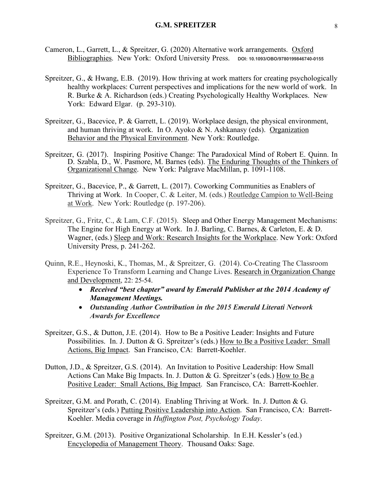- Cameron, L., Garrett, L., & Spreitzer, G. (2020) Alternative work arrangements. Oxford Bibliographies. New York: Oxford University Press. DOI: 10.1093/OBO/9780199846740-0155
- Spreitzer, G., & Hwang, E.B. (2019). How thriving at work matters for creating psychologically healthy workplaces: Current perspectives and implications for the new world of work. In R. Burke & A. Richardson (eds.) Creating Psychologically Healthy Workplaces. New York: Edward Elgar. (p. 293-310).
- Spreitzer, G., Bacevice, P. & Garrett, L. (2019). Workplace design, the physical environment, and human thriving at work. In O. Ayoko & N. Ashkanasy (eds). Organization Behavior and the Physical Environment. New York: Routledge.
- Spreitzer, G. (2017). Inspiring Positive Change: The Paradoxical Mind of Robert E. Quinn. In D. Szabla, D., W. Pasmore, M. Barnes (eds). The Enduring Thoughts of the Thinkers of Organizational Change. New York: Palgrave MacMillan, p. 1091-1108.
- Spreitzer, G., Bacevice, P., & Garrett, L. (2017). Coworking Communities as Enablers of Thriving at Work. In Cooper, C. & Leiter, M. (eds.) Routledge Campion to Well-Being at Work. New York: Routledge (p. 197-206).
- Spreitzer, G., Fritz, C., & Lam, C.F. (2015). Sleep and Other Energy Management Mechanisms: The Engine for High Energy at Work. In J. Barling, C. Barnes, & Carleton, E. & D. Wagner, (eds.) Sleep and Work: Research Insights for the Workplace. New York: Oxford University Press, p. 241-262.
- Quinn, R.E., Heynoski, K., Thomas, M., & Spreitzer, G. (2014). Co-Creating The Classroom Experience To Transform Learning and Change Lives. Research in Organization Change and Development, 22: 25-54.
	- *Received "best chapter" award by Emerald Publisher at the 2014 Academy of Management Meetings.*
	- *Outstanding Author Contribution in the 2015 Emerald Literati Network Awards for Excellence*
- Spreitzer, G.S., & Dutton, J.E. (2014). How to Be a Positive Leader: Insights and Future Possibilities. In. J. Dutton & G. Spreitzer's (eds.) How to Be a Positive Leader: Small Actions, Big Impact. San Francisco, CA: Barrett-Koehler.
- Dutton, J.D., & Spreitzer, G.S. (2014). An Invitation to Positive Leadership: How Small Actions Can Make Big Impacts. In. J. Dutton & G. Spreitzer's (eds.) How to Be a Positive Leader: Small Actions, Big Impact. San Francisco, CA: Barrett-Koehler.
- Spreitzer, G.M. and Porath, C. (2014). Enabling Thriving at Work. In. J. Dutton & G. Spreitzer's (eds.) Putting Positive Leadership into Action. San Francisco, CA: Barrett-Koehler. Media coverage in *Huffington Post, Psychology Today*.
- Spreitzer, G.M. (2013). Positive Organizational Scholarship. In E.H. Kessler's (ed.) Encyclopedia of Management Theory. Thousand Oaks: Sage.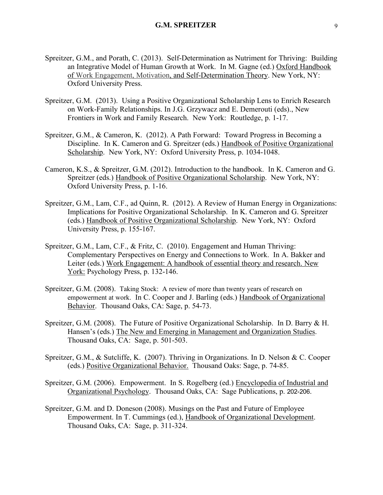- Spreitzer, G.M., and Porath, C. (2013). Self-Determination as Nutriment for Thriving: Building an Integrative Model of Human Growth at Work. In M. Gagne (ed.) Oxford Handbook of Work Engagement, Motivation, and Self-Determination Theory. New York, NY: Oxford University Press.
- Spreitzer, G.M. (2013). Using a Positive Organizational Scholarship Lens to Enrich Research on Work-Family Relationships. In J.G. Grzywacz and E. Demerouti (eds)., New Frontiers in Work and Family Research. New York: Routledge, p. 1-17.
- Spreitzer, G.M., & Cameron, K. (2012). A Path Forward: Toward Progress in Becoming a Discipline. In K. Cameron and G. Spreitzer (eds.) Handbook of Positive Organizational Scholarship. New York, NY: Oxford University Press, p. 1034-1048.
- Cameron, K.S., & Spreitzer, G.M. (2012). Introduction to the handbook. In K. Cameron and G. Spreitzer (eds.) Handbook of Positive Organizational Scholarship. New York, NY: Oxford University Press, p. 1-16.
- Spreitzer, G.M., Lam, C.F., ad Quinn, R. (2012). A Review of Human Energy in Organizations: Implications for Positive Organizational Scholarship. In K. Cameron and G. Spreitzer (eds.) Handbook of Positive Organizational Scholarship. New York, NY: Oxford University Press, p. 155-167.
- Spreitzer, G.M., Lam, C.F., & Fritz, C. (2010). Engagement and Human Thriving: Complementary Perspectives on Energy and Connections to Work. In A. Bakker and Leiter (eds.) Work Engagement: A handbook of essential theory and research. New York: Psychology Press, p. 132-146.
- Spreitzer, G.M. (2008). Taking Stock: A review of more than twenty years of research on empowerment at work. In C. Cooper and J. Barling (eds.) Handbook of Organizational Behavior. Thousand Oaks, CA: Sage, p. 54-73.
- Spreitzer, G.M. (2008). The Future of Positive Organizational Scholarship. In D. Barry & H. Hansen's (eds.) The New and Emerging in Management and Organization Studies. Thousand Oaks, CA: Sage, p. 501-503.
- Spreitzer, G.M., & Sutcliffe, K. (2007). Thriving in Organizations. In D. Nelson & C. Cooper (eds.) Positive Organizational Behavior. Thousand Oaks: Sage, p. 74-85.
- Spreitzer, G.M. (2006). Empowerment. In S. Rogelberg (ed.) Encyclopedia of Industrial and Organizational Psychology. Thousand Oaks, CA: Sage Publications, p. 202-206.
- Spreitzer, G.M. and D. Doneson (2008). Musings on the Past and Future of Employee Empowerment. In T. Cummings (ed.), Handbook of Organizational Development. Thousand Oaks, CA: Sage, p. 311-324.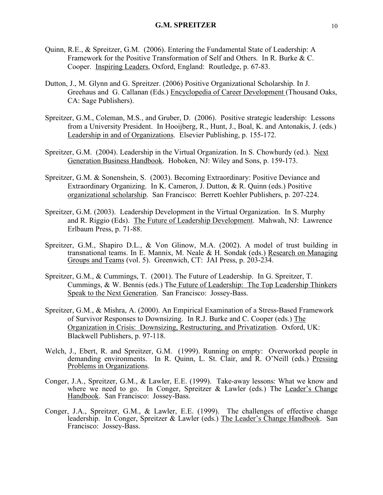- Quinn, R.E., & Spreitzer, G.M. (2006). Entering the Fundamental State of Leadership: A Framework for the Positive Transformation of Self and Others. In R. Burke & C. Cooper. Inspiring Leaders, Oxford, England: Routledge, p. 67-83.
- Dutton, J., M. Glynn and G. Spreitzer. (2006) Positive Organizational Scholarship. In J. Greehaus and G. Callanan (Eds.) Encyclopedia of Career Development (Thousand Oaks, CA: Sage Publishers).
- Spreitzer, G.M., Coleman, M.S., and Gruber, D. (2006). Positive strategic leadership: Lessons from a University President. In Hooijberg, R., Hunt, J., Boal, K. and Antonakis, J. (eds.) Leadership in and of Organizations. Elsevier Publishing, p. 155-172.
- Spreitzer, G.M. (2004). Leadership in the Virtual Organization. In S. Chowhurdy (ed.). Next Generation Business Handbook. Hoboken, NJ: Wiley and Sons, p. 159-173.
- Spreitzer, G.M. & Sonenshein, S. (2003). Becoming Extraordinary: Positive Deviance and Extraordinary Organizing. In K. Cameron, J. Dutton, & R. Quinn (eds.) Positive organizational scholarship. San Francisco: Berrett Koehler Publishers, p. 207-224.
- Spreitzer, G.M. (2003). Leadership Development in the Virtual Organization. In S. Murphy and R. Riggio (Eds). The Future of Leadership Development. Mahwah, NJ: Lawrence Erlbaum Press, p. 71-88.
- Spreitzer, G.M., Shapiro D.L., & Von Glinow, M.A. (2002). A model of trust building in transnational teams. In E. Mannix, M. Neale & H. Sondak (eds.) Research on Managing Groups and Teams (vol. 5). Greenwich, CT: JAI Press, p. 203-234.
- Spreitzer, G.M., & Cummings, T. (2001). The Future of Leadership. In G. Spreitzer, T. Cummings, & W. Bennis (eds.) The Future of Leadership: The Top Leadership Thinkers Speak to the Next Generation. San Francisco: Jossey-Bass.
- Spreitzer, G.M., & Mishra, A. (2000). An Empirical Examination of a Stress-Based Framework of Survivor Responses to Downsizing. In R.J. Burke and C. Cooper (eds.) The Organization in Crisis: Downsizing, Restructuring, and Privatization. Oxford, UK: Blackwell Publishers, p. 97-118.
- Welch, J., Ebert, R. and Spreitzer, G.M. (1999). Running on empty: Overworked people in demanding environments. In R. Quinn, L. St. Clair, and R. O'Neill (eds.) Pressing Problems in Organizations.
- Conger, J.A., Spreitzer, G.M., & Lawler, E.E. (1999). Take-away lessons: What we know and where we need to go. In Conger, Spreitzer & Lawler (eds.) The Leader's Change Handbook. San Francisco: Jossey-Bass.
- Conger, J.A., Spreitzer, G.M., & Lawler, E.E. (1999). The challenges of effective change leadership. In Conger, Spreitzer & Lawler (eds.) The Leader's Change Handbook. San Francisco: Jossey-Bass.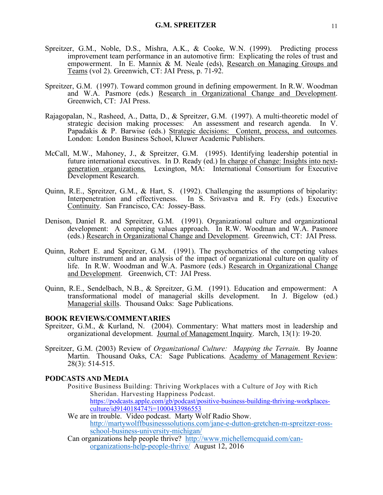- Spreitzer, G.M., Noble, D.S., Mishra, A.K., & Cooke, W.N. (1999). Predicting process improvement team performance in an automotive firm: Explicating the roles of trust and empowerment. In E. Mannix & M. Neale (eds), Research on Managing Groups and Teams (vol 2). Greenwich, CT: JAI Press, p. 71-92.
- Spreitzer, G.M. (1997). Toward common ground in defining empowerment. In R.W. Woodman and W.A. Pasmore (eds.) Research in Organizational Change and Development. Greenwich, CT: JAI Press.
- Rajagopalan, N., Rasheed, A., Datta, D., & Spreitzer, G.M. (1997). A multi-theoretic model of strategic decision making processes: An assessment and research agenda. In V. Papadakis & P. Barwise (eds.) Strategic decisions: Content, process, and outcomes.<br>London: London Business School, Kluwer Academic Publishers.
- McCall, M.W., Mahoney, J., & Spreitzer, G.M. (1995). Identifying leadership potential in future international executives. In D. Ready (ed.) In charge of change: Insights into nextgeneration organizations. Lexington, MA: International Consortium for Executive Development Research.
- Quinn, R.E., Spreitzer, G.M., & Hart, S. (1992). Challenging the assumptions of bipolarity: Interpenetration and effectiveness. In S. Srivastva and R. Fry (eds.) Executive Continuity. San Francisco, CA: Jossey-Bass.
- Denison, Daniel R. and Spreitzer, G.M. (1991). Organizational culture and organizational development: A competing values approach. In R.W. Woodman and W.A. Pasmore (eds.) Research in Organizational Change and Development. Greenwich, CT: JAI Press.
- Quinn, Robert E. and Spreitzer, G.M. (1991). The psychometrics of the competing values culture instrument and an analysis of the impact of organizational culture on quality of life. In R.W. Woodman and W.A. Pasmore (eds.) Research in Organizational Change and Development. Greenwich, CT: JAI Press.
- Quinn, R.E., Sendelbach, N.B., & Spreitzer, G.M. (1991). Education and empowerment: A transformational model of managerial skills development. In J. Bigelow (ed.) Managerial skills. Thousand Oaks: Sage Publications.

#### **BOOK REVIEWS/COMMENTARIES**

- Spreitzer, G.M., & Kurland, N. (2004). Commentary: What matters most in leadership and organizational development. Journal of Management Inquiry. March, 13(1): 19-20.
- Spreitzer, G.M. (2003) Review of *Organizational Culture: Mapping the Terrain*. By Joanne Martin. Thousand Oaks, CA: Sage Publications. Academy of Management Review: 28(3): 514-515.

## **PODCASTS AND MEDIA**

- Positive Business Building: Thriving Workplaces with a Culture of Joy with Rich Sheridan. Harvesting Happiness Podcast. https://podcasts.apple.com/gb/podcast/positive-business-building-thriving-workplacesculture/id914018474?i=1000433986553
- We are in trouble. Video podcast. Marty Wolf Radio Show. http://martywolffbusinesssolutions.com/jane-e-dutton-gretchen-m-spreitzer-ross- school-business-university-michigan/
- Can organizations help people thrive? http://www.michellemcquaid.com/canorganizations-help-people-thrive/ August 12, 2016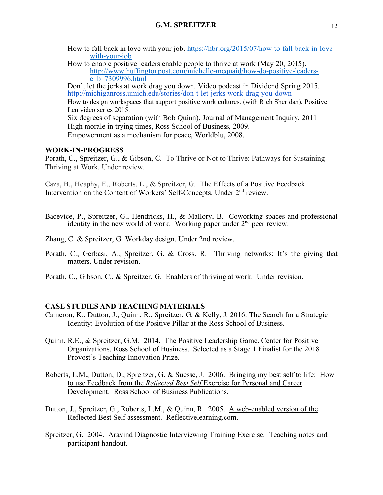How to fall back in love with your job. https://hbr.org/2015/07/how-to-fall-back-in-lovewith-your-job

How to enable positive leaders enable people to thrive at work (May 20, 2015). http://www.huffingtonpost.com/michelle-mcquaid/how-do-positive-leaders-<br>e\_b\_7309996.html

Don't let the jerks at work drag you down. Video podcast in Dividend Spring 2015. http://michiganross.umich.edu/stories/don-t-let-jerks-work-drag-you-down How to design workspaces that support positive work cultures. (with Rich Sheridan), Positive Len video series 2015. Six degrees of separation (with Bob Quinn), Journal of Management Inquiry, 2011 High morale in trying times, Ross School of Business, 2009. Empowerment as a mechanism for peace, Worldblu, 2008.

## **WORK-IN-PROGRESS**

Porath, C., Spreitzer, G., & Gibson, C. To Thrive or Not to Thrive: Pathways for Sustaining Thriving at Work. Under review.

Caza, B., Heaphy, E., Roberts, L., & Spreitzer, G. The Effects of a Positive Feedback Intervention on the Content of Workers' Self-Concepts. Under  $2<sup>nd</sup>$  review.

- Bacevice, P., Spreitzer, G., Hendricks, H., & Mallory, B. Coworking spaces and professional identity in the new world of work. Working paper under  $2<sup>nd</sup>$  peer review.
- Zhang, C. & Spreitzer, G. Workday design. Under 2nd review.
- Porath, C., Gerbasi, A., Spreitzer, G. & Cross. R. Thriving networks: It's the giving that matters. Under revision.
- Porath, C., Gibson, C., & Spreitzer, G. Enablers of thriving at work. Under revision.

## **CASE STUDIES AND TEACHING MATERIALS**

- Cameron, K., Dutton, J., Quinn, R., Spreitzer, G. & Kelly, J. 2016. The Search for a Strategic Identity: Evolution of the Positive Pillar at the Ross School of Business.
- Quinn, R.E., & Spreitzer, G.M. 2014. The Positive Leadership Game. Center for Positive Organizations. Ross School of Business. Selected as a Stage 1 Finalist for the 2018 Provost's Teaching Innovation Prize.
- Roberts, L.M., Dutton, D., Spreitzer, G. & Suesse, J. 2006. Bringing my best self to life: How to use Feedback from the *Reflected Best Self* Exercise for Personal and Career Development. Ross School of Business Publications.
- Dutton, J., Spreitzer, G., Roberts, L.M., & Quinn, R. 2005. A web-enabled version of the Reflected Best Self assessment. Reflectivelearning.com.
- Spreitzer, G. 2004. Aravind Diagnostic Interviewing Training Exercise. Teaching notes and participant handout.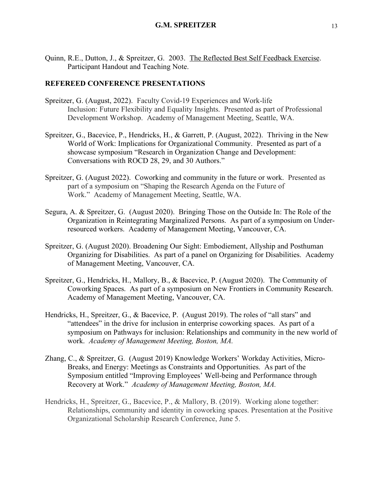Quinn, R.E., Dutton, J., & Spreitzer, G. 2003. The Reflected Best Self Feedback Exercise. Participant Handout and Teaching Note.

## **REFEREED CONFERENCE PRESENTATIONS**

- Spreitzer, G. (August, 2022). Faculty Covid-19 Experiences and Work-life Inclusion: Future Flexibility and Equality Insights. Presented as part of Professional Development Workshop. Academy of Management Meeting, Seattle, WA.
- Spreitzer, G., Bacevice, P., Hendricks, H., & Garrett, P. (August, 2022). Thriving in the New World of Work: Implications for Organizational Community. Presented as part of a showcase symposium "Research in Organization Change and Development: Conversations with ROCD 28, 29, and 30 Authors."
- Spreitzer, G. (August 2022). Coworking and community in the future or work. Presented as part of a symposium on "Shaping the Research Agenda on the Future of Work." Academy of Management Meeting, Seattle, WA.
- Segura, A. & Spreitzer, G. (August 2020). Bringing Those on the Outside In: The Role of the Organization in Reintegrating Marginalized Persons. As part of a symposium on Underresourced workers. Academy of Management Meeting, Vancouver, CA.
- Spreitzer, G. (August 2020). Broadening Our Sight: Embodiement, Allyship and Posthuman Organizing for Disabilities. As part of a panel on Organizing for Disabilities. Academy of Management Meeting, Vancouver, CA.
- Spreitzer, G., Hendricks, H., Mallory, B., & Bacevice, P. (August 2020). The Community of Coworking Spaces. As part of a symposium on New Frontiers in Community Research. Academy of Management Meeting, Vancouver, CA.
- Hendricks, H., Spreitzer, G., & Bacevice, P. (August 2019). The roles of "all stars" and "attendees" in the drive for inclusion in enterprise coworking spaces. As part of a symposium on Pathways for inclusion: Relationships and community in the new world of work. *Academy of Management Meeting, Boston, MA.*
- Zhang, C., & Spreitzer, G. (August 2019) Knowledge Workers' Workday Activities, Micro-Breaks, and Energy: Meetings as Constraints and Opportunities. As part of the Symposium entitled "Improving Employees' Well-being and Performance through Recovery at Work." *Academy of Management Meeting, Boston, MA.*
- Hendricks, H., Spreitzer, G., Bacevice, P., & Mallory, B. (2019). Working alone together: Relationships, community and identity in coworking spaces. Presentation at the Positive Organizational Scholarship Research Conference, June 5.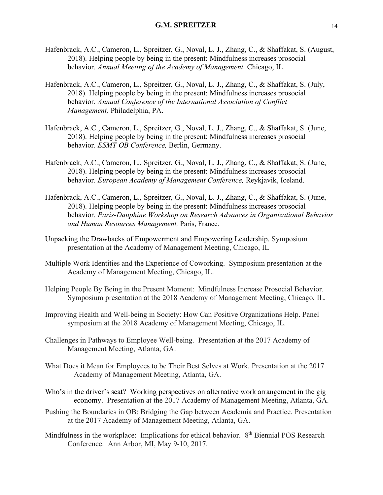- Hafenbrack, A.C., Cameron, L., Spreitzer, G., Noval, L. J., Zhang, C., & Shaffakat, S. (August, 2018). Helping people by being in the present: Mindfulness increases prosocial behavior. *Annual Meeting of the Academy of Management,* Chicago, IL.
- Hafenbrack, A.C., Cameron, L., Spreitzer, G., Noval, L. J., Zhang, C., & Shaffakat, S. (July, 2018). Helping people by being in the present: Mindfulness increases prosocial behavior. *Annual Conference of the International Association of Conflict Management,* Philadelphia, PA.
- Hafenbrack, A.C., Cameron, L., Spreitzer, G., Noval, L. J., Zhang, C., & Shaffakat, S. (June, 2018). Helping people by being in the present: Mindfulness increases prosocial behavior. *ESMT OB Conference,* Berlin, Germany.
- Hafenbrack, A.C., Cameron, L., Spreitzer, G., Noval, L. J., Zhang, C., & Shaffakat, S. (June, 2018). Helping people by being in the present: Mindfulness increases prosocial behavior. *European Academy of Management Conference,* Reykjavik, Iceland.
- Hafenbrack, A.C., Cameron, L., Spreitzer, G., Noval, L. J., Zhang, C., & Shaffakat, S. (June, 2018). Helping people by being in the present: Mindfulness increases prosocial behavior. *Paris-Dauphine Workshop on Research Advances in Organizational Behavior and Human Resources Management,* Paris, France.
- Unpacking the Drawbacks of Empowerment and Empowering Leadership. Symposium presentation at the Academy of Management Meeting, Chicago, IL
- Multiple Work Identities and the Experience of Coworking. Symposium presentation at the Academy of Management Meeting, Chicago, IL.
- Helping People By Being in the Present Moment: Mindfulness Increase Prosocial Behavior. Symposium presentation at the 2018 Academy of Management Meeting, Chicago, IL.
- Improving Health and Well-being in Society: How Can Positive Organizations Help. Panel symposium at the 2018 Academy of Management Meeting, Chicago, IL.
- Challenges in Pathways to Employee Well-being. Presentation at the 2017 Academy of Management Meeting, Atlanta, GA.
- What Does it Mean for Employees to be Their Best Selves at Work. Presentation at the 2017 Academy of Management Meeting, Atlanta, GA.
- Who's in the driver's seat? Working perspectives on alternative work arrangement in the gig economy. Presentation at the 2017 Academy of Management Meeting, Atlanta, GA.
- Pushing the Boundaries in OB: Bridging the Gap between Academia and Practice. Presentation at the 2017 Academy of Management Meeting, Atlanta, GA.
- Mindfulness in the workplace: Implications for ethical behavior. 8<sup>th</sup> Biennial POS Research Conference. Ann Arbor, MI, May 9-10, 2017.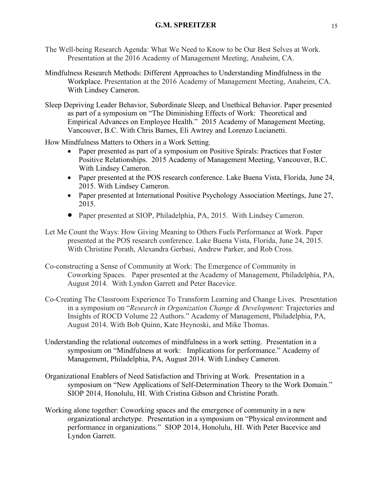- The Well-being Research Agenda: What We Need to Know to be Our Best Selves at Work. Presentation at the 2016 Academy of Management Meeting, Anaheim, CA.
- Mindfulness Research Methods: Different Approaches to Understanding Mindfulness in the Workplace. Presentation at the 2016 Academy of Management Meeting, Anaheim, CA. With Lindsey Cameron.
- Sleep Depriving Leader Behavior, Subordinate Sleep, and Unethical Behavior. Paper presented as part of a symposium on "The Diminishing Effects of Work: Theoretical and Empirical Advances on Employee Health." 2015 Academy of Management Meeting, Vancouver, B.C. With Chris Barnes, Eli Awtrey and Lorenzo Lucianetti.

How Mindfulness Matters to Others in a Work Setting.

- Paper presented as part of a symposium on Positive Spirals: Practices that Foster Positive Relationships. 2015 Academy of Management Meeting, Vancouver, B.C. With Lindsey Cameron.
- Paper presented at the POS research conference. Lake Buena Vista, Florida, June 24, 2015. With Lindsey Cameron.
- Paper presented at International Positive Psychology Association Meetings, June 27, 2015.
- Paper presented at SIOP, Philadelphia, PA, 2015. With Lindsey Cameron.
- Let Me Count the Ways: How Giving Meaning to Others Fuels Performance at Work. Paper presented at the POS research conference. Lake Buena Vista, Florida, June 24, 2015. With Christine Porath, Alexandra Gerbasi, Andrew Parker, and Rob Cross.
- Co-constructing a Sense of Community at Work: The Emergence of Community in Coworking Spaces. Paper presented at the Academy of Management, Philadelphia, PA, August 2014. With Lyndon Garrett and Peter Bacevice.
- Co-Creating The Classroom Experience To Transform Learning and Change Lives. Presentation in a symposium on "*Research in Organization Change & Development*: Trajectories and Insights of ROCD Volume 22 Authors." Academy of Management, Philadelphia, PA, August 2014. With Bob Quinn, Kate Heynoski, and Mike Thomas.
- Understanding the relational outcomes of mindfulness in a work setting. Presentation in a symposium on "Mindfulness at work: Implications for performance." Academy of Management, Philadelphia, PA, August 2014. With Lindsey Cameron.
- Organizational Enablers of Need Satisfaction and Thriving at Work. Presentation in a symposium on "New Applications of Self-Determination Theory to the Work Domain." SIOP 2014, Honolulu, HI. With Cristina Gibson and Christine Porath.
- Working alone together: Coworking spaces and the emergence of community in a new organizational archetype. Presentation in a symposium on "Physical environment and performance in organizations." SIOP 2014, Honolulu, HI. With Peter Bacevice and Lyndon Garrett.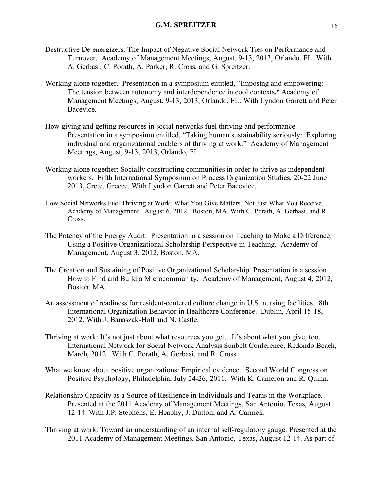- Destructive De-energizers: The Impact of Negative Social Network Ties on Performance and Turnover. Academy of Management Meetings, August, 9-13, 2013, Orlando, FL. With A. Gerbasi, C. Porath, A. Parker, R. Cross, and G. Spreitzer.
- Working alone together. Presentation in a symposium entitled, "Imposing and empowering: The tension between autonomy and interdependence in cool contexts**."** Academy of Management Meetings, August, 9-13, 2013, Orlando, FL. With Lyndon Garrett and Peter Bacevice.
- How giving and getting resources in social networks fuel thriving and performance. Presentation in a symposium entitled, "Taking human sustainability seriously: Exploring individual and organizational enablers of thriving at work." Academy of Management Meetings, August, 9-13, 2013, Orlando, FL.
- Working alone together: Socially constructing communities in order to thrive as independent workers. Fifth International Symposium on Process Organization Studies, 20-22 June 2013, Crete, Greece. With Lyndon Garrett and Peter Bacevice.
- How Social Networks Fuel Thriving at Work: What You Give Matters, Not Just What You Receive. Academy of Management. August 6, 2012. Boston, MA. With C. Porath, A. Gerbasi, and R. Cross.
- The Potency of the Energy Audit. Presentation in a session on Teaching to Make a Difference: Using a Positive Organizational Scholarship Perspective in Teaching. Academy of Management, August 3, 2012, Boston, MA.
- The Creation and Sustaining of Positive Organizational Scholarship. Presentation in a session How to Find and Build a Microcommunity. Academy of Management, August 4, 2012, Boston, MA.
- An assessment of readiness for resident-centered culture change in U.S. nursing facilities. 8th International Organization Behavior in Healthcare Conference. Dublin, April 15-18, 2012. With J. Banaszak-Holl and N. Castle.
- Thriving at work: It's not just about what resources you get…It's about what you give, too. International Network for Social Network Analysis Sunbelt Conference, Redondo Beach, March, 2012. With C. Porath, A. Gerbasi, and R. Cross.
- What we know about positive organizations: Empirical evidence. Second World Congress on Positive Psychology, Philadelphia, July 24-26, 2011. With K. Cameron and R. Quinn.
- Relationship Capacity as a Source of Resilience in Individuals and Teams in the Workplace. Presented at the 2011 Academy of Management Meetings, San Antonio, Texas, August 12-14. With J.P. Stephens, E. Heaphy, J. Dutton, and A. Carmeli.
- Thriving at work: Toward an understanding of an internal self-regulatory gauge. Presented at the 2011 Academy of Management Meetings, San Antonio, Texas, August 12-14. As part of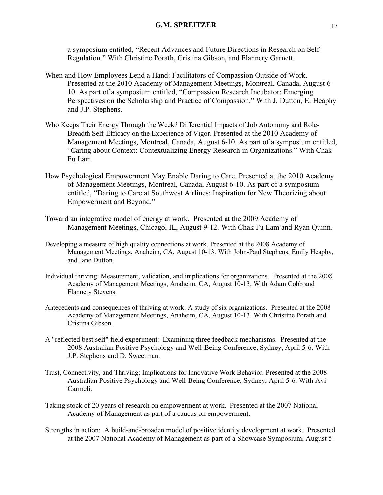a symposium entitled, "Recent Advances and Future Directions in Research on Self-Regulation." With Christine Porath, Cristina Gibson, and Flannery Garnett.

- When and How Employees Lend a Hand: Facilitators of Compassion Outside of Work. Presented at the 2010 Academy of Management Meetings, Montreal, Canada, August 6- 10. As part of a symposium entitled, "Compassion Research Incubator: Emerging Perspectives on the Scholarship and Practice of Compassion." With J. Dutton, E. Heaphy and J.P. Stephens.
- Who Keeps Their Energy Through the Week? Differential Impacts of Job Autonomy and Role-Breadth Self-Efficacy on the Experience of Vigor. Presented at the 2010 Academy of Management Meetings, Montreal, Canada, August 6-10. As part of a symposium entitled, "Caring about Context: Contextualizing Energy Research in Organizations." With Chak Fu Lam.
- How Psychological Empowerment May Enable Daring to Care. Presented at the 2010 Academy of Management Meetings, Montreal, Canada, August 6-10. As part of a symposium entitled, "Daring to Care at Southwest Airlines: Inspiration for New Theorizing about Empowerment and Beyond."
- Toward an integrative model of energy at work. Presented at the 2009 Academy of Management Meetings, Chicago, IL, August 9-12. With Chak Fu Lam and Ryan Quinn.
- Developing a measure of high quality connections at work. Presented at the 2008 Academy of Management Meetings, Anaheim, CA, August 10-13. With John-Paul Stephens, Emily Heaphy, and Jane Dutton.
- Individual thriving: Measurement, validation, and implications for organizations. Presented at the 2008 Academy of Management Meetings, Anaheim, CA, August 10-13. With Adam Cobb and Flannery Stevens.
- Antecedents and consequences of thriving at work: A study of six organizations. Presented at the 2008 Academy of Management Meetings, Anaheim, CA, August 10-13. With Christine Porath and Cristina Gibson.
- A "reflected best self" field experiment: Examining three feedback mechanisms. Presented at the 2008 Australian Positive Psychology and Well-Being Conference, Sydney, April 5-6. With J.P. Stephens and D. Sweetman.
- Trust, Connectivity, and Thriving: Implications for Innovative Work Behavior. Presented at the 2008 Australian Positive Psychology and Well-Being Conference, Sydney, April 5-6. With Avi Carmeli.
- Taking stock of 20 years of research on empowerment at work. Presented at the 2007 National Academy of Management as part of a caucus on empowerment.
- Strengths in action: A build-and-broaden model of positive identity development at work. Presented at the 2007 National Academy of Management as part of a Showcase Symposium, August 5-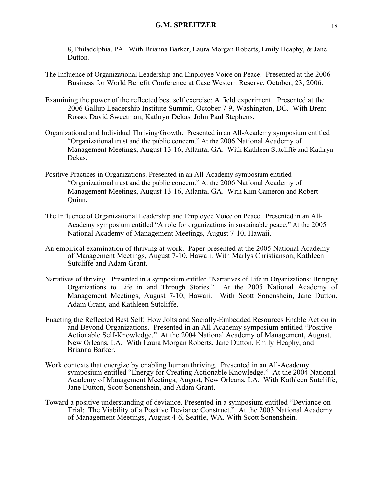8, Philadelphia, PA. With Brianna Barker, Laura Morgan Roberts, Emily Heaphy, & Jane Dutton.

- The Influence of Organizational Leadership and Employee Voice on Peace. Presented at the 2006 Business for World Benefit Conference at Case Western Reserve, October, 23, 2006.
- Examining the power of the reflected best self exercise: A field experiment. Presented at the 2006 Gallup Leadership Institute Summit, October 7-9, Washington, DC. With Brent Rosso, David Sweetman, Kathryn Dekas, John Paul Stephens.
- Organizational and Individual Thriving/Growth. Presented in an All-Academy symposium entitled "Organizational trust and the public concern." At the 2006 National Academy of Management Meetings, August 13-16, Atlanta, GA. With Kathleen Sutcliffe and Kathryn Dekas.
- Positive Practices in Organizations. Presented in an All-Academy symposium entitled "Organizational trust and the public concern." At the 2006 National Academy of Management Meetings, August 13-16, Atlanta, GA. With Kim Cameron and Robert Quinn.
- The Influence of Organizational Leadership and Employee Voice on Peace. Presented in an All-Academy symposium entitled "A role for organizations in sustainable peace." At the 2005 National Academy of Management Meetings, August 7-10, Hawaii.
- An empirical examination of thriving at work. Paper presented at the 2005 National Academy of Management Meetings, August 7-10, Hawaii. With Marlys Christianson, Kathleen Sutcliffe and Adam Grant.
- Narratives of thriving. Presented in a symposium entitled "Narratives of Life in Organizations: Bringing Organizations to Life in and Through Stories." At the 2005 National Academy of Management Meetings, August 7-10, Hawaii. With Scott Sonenshein, Jane Dutton, Adam Grant, and Kathleen Sutcliffe.
- Enacting the Reflected Best Self: How Jolts and Socially-Embedded Resources Enable Action in and Beyond Organizations. Presented in an All-Academy symposium entitled "Positive Actionable Self-Knowledge." At the 2004 National Academy of Management, August, New Orleans, LA. With Laura Morgan Roberts, Jane Dutton, Emily Heaphy, and Brianna Barker.
- Work contexts that energize by enabling human thriving. Presented in an All-Academy symposium entitled "Energy for Creating Actionable Knowledge." At the 2004 National Academy of Management Meetings, August, New Orleans, LA. With Kathleen Sutcliffe, Jane Dutton, Scott Sonenshein, and Adam Grant.
- Toward a positive understanding of deviance. Presented in a symposium entitled "Deviance on Trial: The Viability of a Positive Deviance Construct.<sup>5</sup> At the 2003 National Academy of Management Meetings, August 4-6, Seattle, WA. With Scott Sonenshein.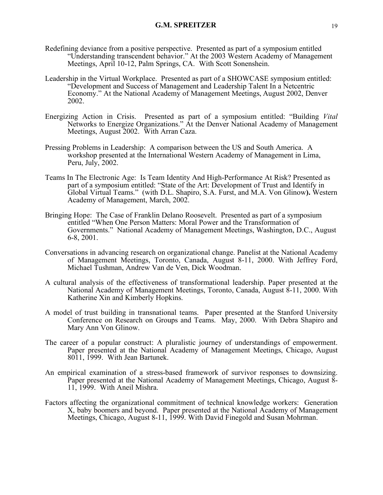- Redefining deviance from a positive perspective. Presented as part of a symposium entitled "Understanding transcendent behavior." At the 2003 Western Academy of Management Meetings, April 10-12, Palm Springs, CA. With Scott Sonenshein.
- Leadership in the Virtual Workplace. Presented as part of a SHOWCASE symposium entitled: "Development and Success of Management and Leadership Talent In a Netcentric Economy." At the National Academy of Management Meetings, August 2002, Denver 2002.
- Energizing Action in Crisis. Presented as part of a symposium entitled: "Building *Vital* Networks to Energize Organizations." At the Denver National Academy of Management Meetings, August 2002. With Arran Caza.
- Pressing Problems in Leadership: A comparison between the US and South America. A workshop presented at the International Western Academy of Management in Lima, Peru, July, 2002.
- Teams In The Electronic Age: Is Team Identity And High-Performance At Risk? Presented as part of a symposium entitled: "State of the Art: Development of Trust and Identify in Global Virtual Teams." (with D.L. Shapiro, S.A. Furst, and M.A. Von Glinow**).** Western Academy of Management, March, 2002.
- Bringing Hope: The Case of Franklin Delano Roosevelt. Presented as part of a symposium entitled "When One Person Matters: Moral Power and the Transformation of Governments." National Academy of Management Meetings, Washington, D.C., August 6-8, 2001.
- Conversations in advancing research on organizational change. Panelist at the National Academy of Management Meetings, Toronto, Canada, August 8-11, 2000. With Jeffrey Ford, Michael Tushman, Andrew Van de Ven, Dick Woodman.
- A cultural analysis of the effectiveness of transformational leadership. Paper presented at the National Academy of Management Meetings, Toronto, Canada, August 8-11, 2000. With Katherine Xin and Kimberly Hopkins.
- A model of trust building in transnational teams. Paper presented at the Stanford University Conference on Research on Groups and Teams. May, 2000. With Debra Shapiro and Mary Ann Von Glinow.
- The career of a popular construct: A pluralistic journey of understandings of empowerment. Paper presented at the National Academy of Management Meetings, Chicago, August 8011, 1999. With Jean Bartunek.
- An empirical examination of a stress-based framework of survivor responses to downsizing. Paper presented at the National Academy of Management Meetings, Chicago, August 8- 11, 1999. With Aneil Mishra.
- Factors affecting the organizational commitment of technical knowledge workers: Generation X, baby boomers and beyond. Paper presented at the National Academy of Management Meetings, Chicago, August 8-11, 1999. With David Finegold and Susan Mohrman.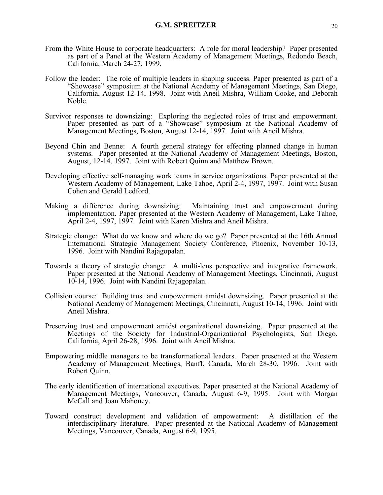- From the White House to corporate headquarters: A role for moral leadership? Paper presented as part of a Panel at the Western Academy of Management Meetings, Redondo Beach, California, March 24-27, 1999.
- Follow the leader: The role of multiple leaders in shaping success. Paper presented as part of a "Showcase" symposium at the National Academy of Management Meetings, San Diego, California, August 12-14, 1998. Joint with Aneil Mishra, William Cooke, and Deborah Noble.
- Survivor responses to downsizing: Exploring the neglected roles of trust and empowerment. Paper presented as part of a "Showcase" symposium at the National Academy of Management Meetings, Boston, August 12-14, 1997. Joint with Aneil Mishra.
- Beyond Chin and Benne: A fourth general strategy for effecting planned change in human systems. Paper presented at the National Academy of Management Meetings, Boston, August, 12-14, 1997. Joint with Robert Quinn and Matthew Brown.
- Developing effective self-managing work teams in service organizations. Paper presented at the Western Academy of Management, Lake Tahoe, April 2-4, 1997, 1997. Joint with Susan Cohen and Gerald Ledford.
- Making a difference during downsizing: Maintaining trust and empowerment during implementation. Paper presented at the Western Academy of Management, Lake Tahoe, April 2-4, 1997, 1997. Joint with Karen Mishra and Aneil Mishra.
- Strategic change: What do we know and where do we go? Paper presented at the 16th Annual International Strategic Management Society Conference, Phoenix, November 10-13, 1996. Joint with Nandini Rajagopalan.
- Towards a theory of strategic change: A multi-lens perspective and integrative framework. Paper presented at the National Academy of Management Meetings, Cincinnati, August 10-14, 1996. Joint with Nandini Rajagopalan.
- Collision course: Building trust and empowerment amidst downsizing. Paper presented at the National Academy of Management Meetings, Cincinnati, August 10-14, 1996. Joint with Aneil Mishra.
- Preserving trust and empowerment amidst organizational downsizing. Paper presented at the Meetings of the Society for Industrial-Organizational Psychologists, San Diego, California, April 26-28, 1996. Joint with Aneil Mishra.
- Empowering middle managers to be transformational leaders. Paper presented at the Western Academy of Management Meetings, Banff, Canada, March 28-30, 1996. Joint with Robert Quinn.
- The early identification of international executives. Paper presented at the National Academy of Management Meetings, Vancouver, Canada, August 6-9, 1995. Joint with Morgan McCall and Joan Mahoney.
- Toward construct development and validation of empowerment: A distillation of the interdisciplinary literature. Paper presented at the National Academy of Management Meetings, Vancouver, Canada, August 6-9, 1995.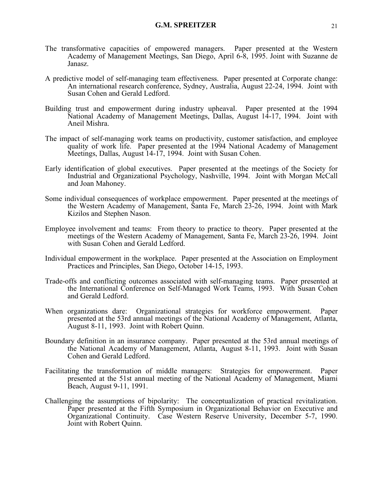- The transformative capacities of empowered managers. Paper presented at the Western Academy of Management Meetings, San Diego, April 6-8, 1995. Joint with Suzanne de Janasz.
- A predictive model of self-managing team effectiveness. Paper presented at Corporate change: An international research conference, Sydney, Australia, August 22-24, 1994. Joint with Susan Cohen and Gerald Ledford.
- Building trust and empowerment during industry upheaval. Paper presented at the 1994 National Academy of Management Meetings, Dallas, August 14-17, 1994. Joint with Aneil Mishra.
- The impact of self-managing work teams on productivity, customer satisfaction, and employee quality of work life. Paper presented at the 1994 National Academy of Management Meetings, Dallas, August 14-17, 1994. Joint with Susan Cohen.
- Early identification of global executives. Paper presented at the meetings of the Society for Industrial and Organizational Psychology, Nashville, 1994. Joint with Morgan McCall and Joan Mahoney.
- Some individual consequences of workplace empowerment. Paper presented at the meetings of the Western Academy of Management, Santa Fe, March 23-26, 1994. Joint with Mark Kizilos and Stephen Nason.
- Employee involvement and teams: From theory to practice to theory. Paper presented at the meetings of the Western Academy of Management, Santa Fe, March 23-26, 1994. Joint with Susan Cohen and Gerald Ledford.
- Individual empowerment in the workplace. Paper presented at the Association on Employment Practices and Principles, San Diego, October 14-15, 1993.
- Trade-offs and conflicting outcomes associated with self-managing teams. Paper presented at the International Conference on Self-Managed Work Teams, 1993. With Susan Cohen and Gerald Ledford.
- When organizations dare: Organizational strategies for workforce empowerment. Paper presented at the 53rd annual meetings of the National Academy of Management, Atlanta, August 8-11, 1993. Joint with Robert Quinn.
- Boundary definition in an insurance company. Paper presented at the 53rd annual meetings of the National Academy of Management, Atlanta, August 8-11, 1993. Joint with Susan Cohen and Gerald Ledford.
- Facilitating the transformation of middle managers: Strategies for empowerment. Paper presented at the 51st annual meeting of the National Academy of Management, Miami Beach, August 9-11, 1991.
- Challenging the assumptions of bipolarity: The conceptualization of practical revitalization. Paper presented at the Fifth Symposium in Organizational Behavior on Executive and Organizational Continuity. Case Western Reserve University, December 5-7, 1990. Joint with Robert Quinn.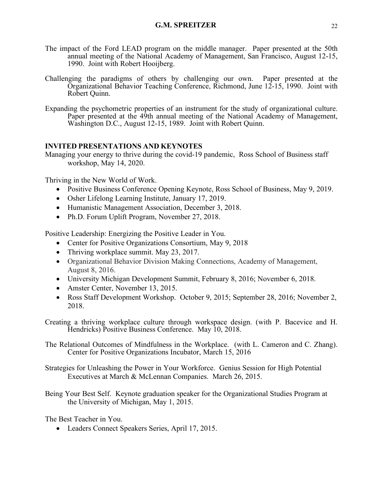- The impact of the Ford LEAD program on the middle manager. Paper presented at the 50th annual meeting of the National Academy of Management, San Francisco, August 12-15, 1990. Joint with Robert Hooijberg.
- Challenging the paradigms of others by challenging our own. Paper presented at the Organizational Behavior Teaching Conference, Richmond, June 12-15, 1990. Joint with Robert Quinn.
- Expanding the psychometric properties of an instrument for the study of organizational culture. Paper presented at the 49th annual meeting of the National Academy of Management, Washington D.C., August 12-15, 1989. Joint with Robert Quinn.

# **INVITED PRESENTATIONS AND KEYNOTES**

Managing your energy to thrive during the covid-19 pandemic, Ross School of Business staff workshop, May 14, 2020.

Thriving in the New World of Work.

- Positive Business Conference Opening Keynote, Ross School of Business, May 9, 2019.
- Osher Lifelong Learning Institute, January 17, 2019.
- Humanistic Management Association, December 3, 2018.
- Ph.D. Forum Uplift Program, November 27, 2018.

Positive Leadership: Energizing the Positive Leader in You.

- Center for Positive Organizations Consortium, May 9, 2018
- Thriving workplace summit. May 23, 2017.
- Organizational Behavior Division Making Connections, Academy of Management, August 8, 2016.
- University Michigan Development Summit, February 8, 2016; November 6, 2018.
- Amster Center, November 13, 2015.
- Ross Staff Development Workshop. October 9, 2015; September 28, 2016; November 2, 2018.
- Creating a thriving workplace culture through workspace design. (with P. Bacevice and H. Hendricks) Positive Business Conference. May 10, 2018.

The Relational Outcomes of Mindfulness in the Workplace. (with L. Cameron and C. Zhang). Center for Positive Organizations Incubator, March 15, 2016

Strategies for Unleashing the Power in Your Workforce. Genius Session for High Potential Executives at March & McLennan Companies. March 26, 2015.

Being Your Best Self. Keynote graduation speaker for the Organizational Studies Program at the University of Michigan, May 1, 2015.

The Best Teacher in You.

• Leaders Connect Speakers Series, April 17, 2015.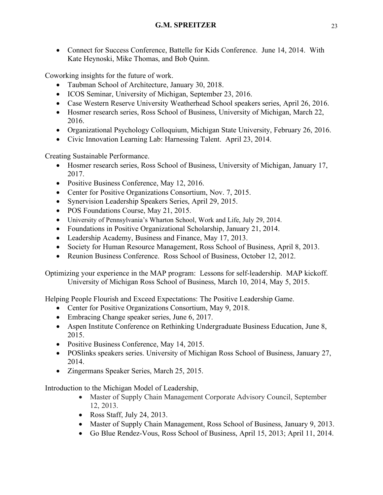• Connect for Success Conference, Battelle for Kids Conference. June 14, 2014. With Kate Heynoski, Mike Thomas, and Bob Quinn.

Coworking insights for the future of work.

- Taubman School of Architecture, January 30, 2018.
- ICOS Seminar, University of Michigan, September 23, 2016.
- Case Western Reserve University Weatherhead School speakers series, April 26, 2016.
- Hosmer research series, Ross School of Business, University of Michigan, March 22, 2016.
- Organizational Psychology Colloquium, Michigan State University, February 26, 2016.
- Civic Innovation Learning Lab: Harnessing Talent. April 23, 2014.

Creating Sustainable Performance.

- Hosmer research series, Ross School of Business, University of Michigan, January 17, 2017.
- Positive Business Conference, May 12, 2016.
- Center for Positive Organizations Consortium, Nov. 7, 2015.
- Synervision Leadership Speakers Series, April 29, 2015.
- POS Foundations Course, May 21, 2015.
- University of Pennsylvania's Wharton School, Work and Life, July 29, 2014.
- Foundations in Positive Organizational Scholarship, January 21, 2014.
- Leadership Academy, Business and Finance, May 17, 2013.
- Society for Human Resource Management, Ross School of Business, April 8, 2013.
- Reunion Business Conference. Ross School of Business, October 12, 2012.

Optimizing your experience in the MAP program: Lessons for self-leadership. MAP kickoff. University of Michigan Ross School of Business, March 10, 2014, May 5, 2015.

Helping People Flourish and Exceed Expectations: The Positive Leadership Game.

- Center for Positive Organizations Consortium, May 9, 2018.
- Embracing Change speaker series, June 6, 2017.
- Aspen Institute Conference on Rethinking Undergraduate Business Education, June 8, 2015.
- Positive Business Conference, May 14, 2015.
- POSlinks speakers series. University of Michigan Ross School of Business, January 27, 2014.
- Zingermans Speaker Series, March 25, 2015.

Introduction to the Michigan Model of Leadership,

- Master of Supply Chain Management Corporate Advisory Council, September 12, 2013.
- Ross Staff, July 24, 2013.
- Master of Supply Chain Management, Ross School of Business, January 9, 2013.
- Go Blue Rendez-Vous, Ross School of Business, April 15, 2013; April 11, 2014.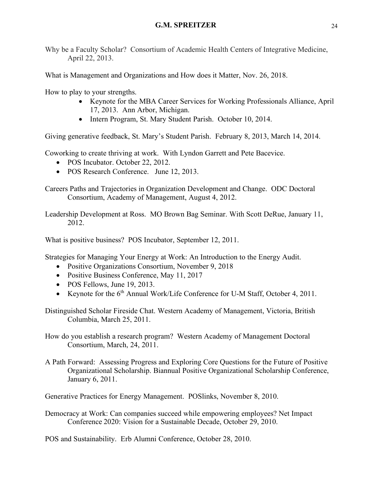Why be a Faculty Scholar? Consortium of Academic Health Centers of Integrative Medicine, April 22, 2013.

What is Management and Organizations and How does it Matter, Nov. 26, 2018.

How to play to your strengths.

- Keynote for the MBA Career Services for Working Professionals Alliance, April 17, 2013. Ann Arbor, Michigan.
- Intern Program, St. Mary Student Parish. October 10, 2014.

Giving generative feedback, St. Mary's Student Parish. February 8, 2013, March 14, 2014.

Coworking to create thriving at work. With Lyndon Garrett and Pete Bacevice.

- POS Incubator. October 22, 2012.
- POS Research Conference. June 12, 2013.

Careers Paths and Trajectories in Organization Development and Change. ODC Doctoral Consortium, Academy of Management, August 4, 2012.

Leadership Development at Ross. MO Brown Bag Seminar. With Scott DeRue, January 11, 2012.

What is positive business? POS Incubator, September 12, 2011.

Strategies for Managing Your Energy at Work: An Introduction to the Energy Audit.

- Positive Organizations Consortium, November 9, 2018
- Positive Business Conference, May 11, 2017
- POS Fellows, June 19, 2013.
- Keynote for the 6<sup>th</sup> Annual Work/Life Conference for U-M Staff, October 4, 2011.

Distinguished Scholar Fireside Chat. Western Academy of Management, Victoria, British Columbia, March 25, 2011.

How do you establish a research program? Western Academy of Management Doctoral Consortium, March, 24, 2011.

A Path Forward: Assessing Progress and Exploring Core Questions for the Future of Positive Organizational Scholarship. Biannual Positive Organizational Scholarship Conference, January 6, 2011.

Generative Practices for Energy Management. POSlinks, November 8, 2010.

Democracy at Work: Can companies succeed while empowering employees? Net Impact Conference 2020: Vision for a Sustainable Decade, October 29, 2010.

POS and Sustainability. Erb Alumni Conference, October 28, 2010.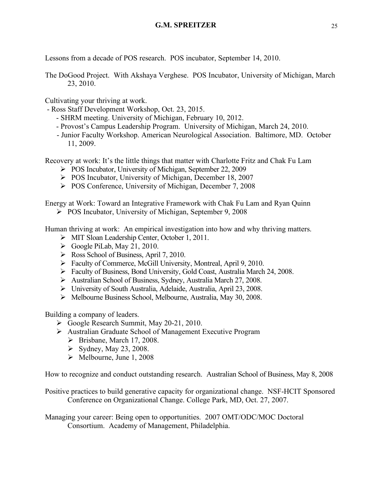Lessons from a decade of POS research. POS incubator, September 14, 2010.

The DoGood Project. With Akshaya Verghese. POS Incubator, University of Michigan, March 23, 2010.

Cultivating your thriving at work.

- Ross Staff Development Workshop, Oct. 23, 2015.
	- SHRM meeting. University of Michigan, February 10, 2012.
	- Provost's Campus Leadership Program. University of Michigan, March 24, 2010.
	- Junior Faculty Workshop. American Neurological Association. Baltimore, MD. October 11, 2009.

Recovery at work: It's the little things that matter with Charlotte Fritz and Chak Fu Lam

- Ø POS Incubator, University of Michigan, September 22, 2009
- Ø POS Incubator, University of Michigan, December 18, 2007
- Ø POS Conference, University of Michigan, December 7, 2008

Energy at Work: Toward an Integrative Framework with Chak Fu Lam and Ryan Quinn

Ø POS Incubator, University of Michigan, September 9, 2008

Human thriving at work: An empirical investigation into how and why thriving matters.

- Ø MIT Sloan Leadership Center, October 1, 2011.
- $\triangleright$  Google PiLab, May 21, 2010.
- $\triangleright$  Ross School of Business, April 7, 2010.
- Ø Faculty of Commerce, McGill University, Montreal, April 9, 2010.
- Ø Faculty of Business, Bond University, Gold Coast, Australia March 24, 2008.
- Ø Australian School of Business, Sydney, Australia March 27, 2008.
- Ø University of South Australia, Adelaide, Australia, April 23, 2008.
- Ø Melbourne Business School, Melbourne, Australia, May 30, 2008.

Building a company of leaders.

- $\triangleright$  Google Research Summit, May 20-21, 2010.
- Ø Australian Graduate School of Management Executive Program
	- $\triangleright$  Brisbane, March 17, 2008.
	- $\blacktriangleright$  Sydney, May 23, 2008.
	- $\blacktriangleright$  Melbourne, June 1, 2008

How to recognize and conduct outstanding research. Australian School of Business, May 8, 2008

Positive practices to build generative capacity for organizational change. NSF-HCIT Sponsored Conference on Organizational Change. College Park, MD, Oct. 27, 2007.

Managing your career: Being open to opportunities. 2007 OMT/ODC/MOC Doctoral Consortium. Academy of Management, Philadelphia.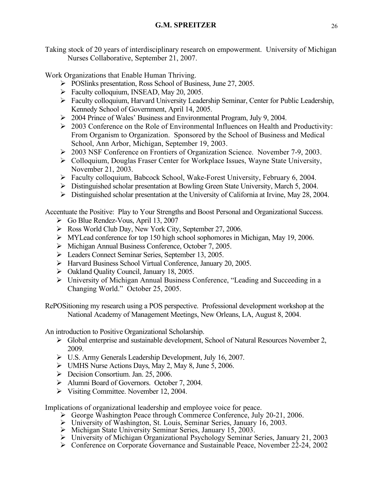Taking stock of 20 years of interdisciplinary research on empowerment. University of Michigan Nurses Collaborative, September 21, 2007.

Work Organizations that Enable Human Thriving.

- Ø POSlinks presentation, Ross School of Business, June 27, 2005.
- $\triangleright$  Faculty colloquium, INSEAD, May 20, 2005.
- Ø Faculty colloquium, Harvard University Leadership Seminar, Center for Public Leadership, Kennedy School of Government, April 14, 2005.
- Ø 2004 Prince of Wales' Business and Environmental Program, July 9, 2004.
- $\geq 2003$  Conference on the Role of Environmental Influences on Health and Productivity: From Organism to Organization. Sponsored by the School of Business and Medical School, Ann Arbor, Michigan, September 19, 2003.
- Ø 2003 NSF Conference on Frontiers of Organization Science. November 7-9, 2003.
- $\triangleright$  Colloquium, Douglas Fraser Center for Workplace Issues, Wayne State University, November 21, 2003.
- $\triangleright$  Faculty colloquium, Babcock School, Wake-Forest University, February 6, 2004.
- $\triangleright$  Distinguished scholar presentation at Bowling Green State University, March 5, 2004.
- $\triangleright$  Distinguished scholar presentation at the University of California at Irvine, May 28, 2004.

Accentuate the Positive: Play to Your Strengths and Boost Personal and Organizational Success.

- Ø Go Blue Rendez-Vous, April 13, 2007
- Ø Ross World Club Day, New York City, September 27, 2006.
- $\triangleright$  MYLead conference for top 150 high school sophomores in Michigan, May 19, 2006.
- Ø Michigan Annual Business Conference, October 7, 2005.
- Ø Leaders Connect Seminar Series, September 13, 2005.
- Ø Harvard Business School Virtual Conference, January 20, 2005.
- $\triangleright$  Oakland Quality Council, January 18, 2005.
- Ø University of Michigan Annual Business Conference, "Leading and Succeeding in a Changing World." October 25, 2005.

RePOSitioning my research using a POS perspective. Professional development workshop at the National Academy of Management Meetings, New Orleans, LA, August 8, 2004.

An introduction to Positive Organizational Scholarship.

- Ø Global enterprise and sustainable development, School of Natural Resources November 2, 2009.
- Ø U.S. Army Generals Leadership Development, July 16, 2007.
- $\triangleright$  UMHS Nurse Actions Days, May 2, May 8, June 5, 2006.
- $\triangleright$  Decision Consortium. Jan. 25, 2006.
- Ø Alumni Board of Governors. October 7, 2004.
- $\triangleright$  Visiting Committee. November 12, 2004.

Implications of organizational leadership and employee voice for peace.

- $\triangleright$  George Washington Peace through Commerce Conference, July 20-21, 2006.
- Ø University of Washington, St. Louis, Seminar Series, January 16, 2003.
- $\triangleright$  Michigan State University Seminar Series, January 15, 2003.
- Ø University of Michigan Organizational Psychology Seminar Series, January 21, 2003
- $\triangleright$  Conference on Corporate Governance and Sustainable Peace, November 22-24, 2002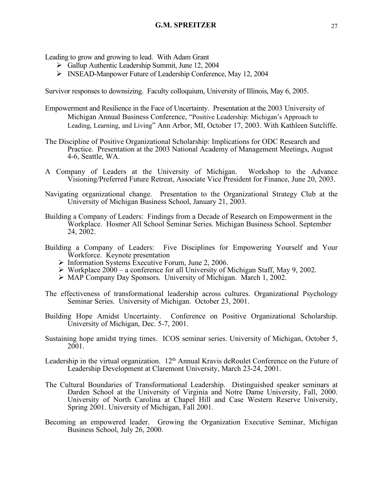Leading to grow and growing to lead. With Adam Grant

- $\triangleright$  Gallup Authentic Leadership Summit, June 12, 2004
- Ø INSEAD-Manpower Future of Leadership Conference, May 12, 2004

Survivor responses to downsizing. Faculty colloquium, University of Illinois, May 6, 2005.

- Empowerment and Resilience in the Face of Uncertainty. Presentation at the 2003 University of Michigan Annual Business Conference, "Positive Leadership: Michigan's Approach to Leading, Learning, and Living" Ann Arbor, MI, October 17, 2003. With Kathleen Sutcliffe.
- The Discipline of Positive Organizational Scholarship: Implications for ODC Research and Practice. Presentation at the 2003 National Academy of Management Meetings, August 4-6, Seattle, WA.
- A Company of Leaders at the University of Michigan. Workshop to the Advance Visioning/Preferred Future Retreat, Associate Vice President for Finance, June 20, 2003.
- Navigating organizational change. Presentation to the Organizational Strategy Club at the University of Michigan Business School, January 21, 2003.
- Building a Company of Leaders: Findings from a Decade of Research on Empowerment in the Workplace. Hosmer All School Seminar Series. Michigan Business School. September 24, 2002.
- Building a Company of Leaders: Five Disciplines for Empowering Yourself and Your Workforce. Keynote presentation
	- $\triangleright$  Information Systems Executive Forum, June 2, 2006.
	- $\triangleright$  Workplace 2000 a conference for all University of Michigan Staff, May 9, 2002.
	- Ø MAP Company Day Sponsors. University of Michigan. March 1, 2002.
- The effectiveness of transformational leadership across cultures. Organizational Psychology Seminar Series. University of Michigan. October 23, 2001.
- Building Hope Amidst Uncertainty. Conference on Positive Organizational Scholarship. University of Michigan, Dec. 5-7, 2001.
- Sustaining hope amidst trying times. ICOS seminar series. University of Michigan, October 5, 2001.
- Leadership in the virtual organization.  $12<sup>th</sup>$  Annual Kravis deRoulet Conference on the Future of Leadership Development at Claremont University, March 23-24, 2001.
- The Cultural Boundaries of Transformational Leadership. Distinguished speaker seminars at Darden School at the University of Virginia and Notre Dame University, Fall, 2000. University of North Carolina at Chapel Hill and Case Western Reserve University, Spring 2001. University of Michigan, Fall 2001.
- Becoming an empowered leader. Growing the Organization Executive Seminar, Michigan Business School, July 26, 2000.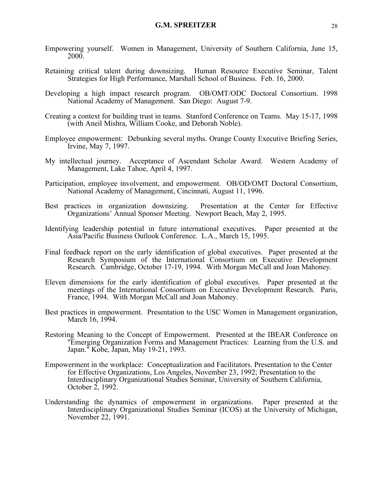- Empowering yourself. Women in Management, University of Southern California, June 15, 2000.
- Retaining critical talent during downsizing. Human Resource Executive Seminar, Talent Strategies for High Performance, Marshall School of Business. Feb. 16, 2000.
- Developing a high impact research program. OB/OMT/ODC Doctoral Consortium. 1998 National Academy of Management. San Diego: August 7-9.
- Creating a context for building trust in teams. Stanford Conference on Teams. May 15-17, 1998 (with Aneil Mishra, William Cooke, and Deborah Noble).
- Employee empowerment: Debunking several myths. Orange County Executive Briefing Series, Irvine, May 7, 1997.
- My intellectual journey. Acceptance of Ascendant Scholar Award. Western Academy of Management, Lake Tahoe, April 4, 1997.
- Participation, employee involvement, and empowerment. OB/OD/OMT Doctoral Consortium, National Academy of Management, Cincinnati, August 11, 1996.
- Best practices in organization downsizing. Presentation at the Center for Effective Organizations' Annual Sponsor Meeting. Newport Beach, May 2, 1995.
- Identifying leadership potential in future international executives. Paper presented at the Asia/Pacific Business Outlook Conference. L.A., March 15, 1995.
- Final feedback report on the early identification of global executives. Paper presented at the Research Symposium of the International Consortium on Executive Development Research. Cambridge, October 17-19, 1994. With Morgan McCall and Joan Mahoney.
- Eleven dimensions for the early identification of global executives. Paper presented at the meetings of the International Consortium on Executive Development Research. Paris, France, 1994. With Morgan McCall and Joan Mahoney.
- Best practices in empowerment. Presentation to the USC Women in Management organization, March 16, 1994.
- Restoring Meaning to the Concept of Empowerment. Presented at the IBEAR Conference on "Emerging Organization Forms and Management Practices: Learning from the U.S. and Japan." Kobe, Japan, May 19-21, 1993.
- Empowerment in the workplace: Conceptualization and Facilitators. Presentation to the Center for Effective Organizations, Los Angeles, November 23, 1992; Presentation to the Interdisciplinary Organizational Studies Seminar, University of Southern California, October 2, 1992.
- Understanding the dynamics of empowerment in organizations. Paper presented at the Interdisciplinary Organizational Studies Seminar (ICOS) at the University of Michigan, November 22, 1991.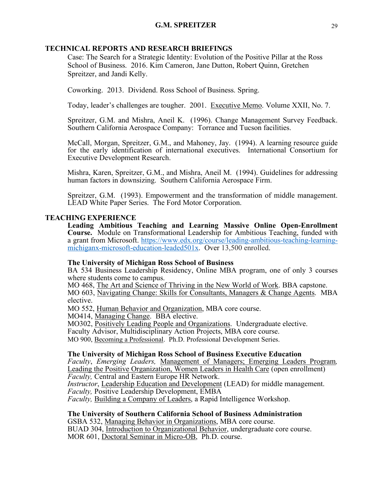# **TECHNICAL REPORTS AND RESEARCH BRIEFINGS**

Case: The Search for a Strategic Identity: Evolution of the Positive Pillar at the Ross School of Business. 2016. Kim Cameron, Jane Dutton, Robert Quinn, Gretchen Spreitzer, and Jandi Kelly.

Coworking. 2013. Dividend. Ross School of Business. Spring.

Today, leader's challenges are tougher. 2001. Executive Memo. Volume XXII, No. 7.

Spreitzer, G.M. and Mishra, Aneil K. (1996). Change Management Survey Feedback. Southern California Aerospace Company: Torrance and Tucson facilities.

McCall, Morgan, Spreitzer, G.M., and Mahoney, Jay. (1994). A learning resource guide for the early identification of international executives. International Consortium for Executive Development Research.

Mishra, Karen, Spreitzer, G.M., and Mishra, Aneil M. (1994). Guidelines for addressing human factors in downsizing. Southern California Aerospace Firm.

Spreitzer, G.M. (1993). Empowerment and the transformation of middle management. LEAD White Paper Series. The Ford Motor Corporation.

## **TEACHING EXPERIENCE**

**Leading Ambitious Teaching and Learning Massive Online Open-Enrollment Course.** Module on Transformational Leadership for Ambitious Teaching, funded with a grant from Microsoft. https://www.edx.org/course/leading-ambitious-teaching-learning- michiganx-microsoft-education-leaded501x. Over 13,500 enrolled.

## **The University of Michigan Ross School of Business**

BA 534 Business Leadership Residency, Online MBA program, one of only 3 courses where students come to campus.

MO 468, The Art and Science of Thriving in the New World of Work. BBA capstone. MO 603, Navigating Change: Skills for Consultants, Managers & Change Agents. MBA elective.

MO 552, Human Behavior and Organization, MBA core course.

MO414, Managing Change. BBA elective.

MO302, Positively Leading People and Organizations. Undergraduate elective.

Faculty Advisor, Multidisciplinary Action Projects, MBA core course.

MO 900, Becoming a Professional. Ph.D. Professional Development Series.

## **The University of Michigan Ross School of Business Executive Education**

*Faculty*, *Emerging Leaders,* Management of Managers; Emerging Leaders Program*,*  Leading the Positive Organization, Women Leaders in Health Care (open enrollment) *Faculty,* Central and Eastern Europe HR Network. *Instructor*, Leadership Education and Development (LEAD) for middle management. *Faculty,* Positive Leadership Development, EMBA

*Faculty,* Building a Company of Leaders, a Rapid Intelligence Workshop.

# **The University of Southern California School of Business Administration**

GSBA 532, Managing Behavior in Organizations, MBA core course. BUAD 304, Introduction to Organizational Behavior, undergraduate core course. MOR 601, Doctoral Seminar in Micro-OB, Ph.D. course.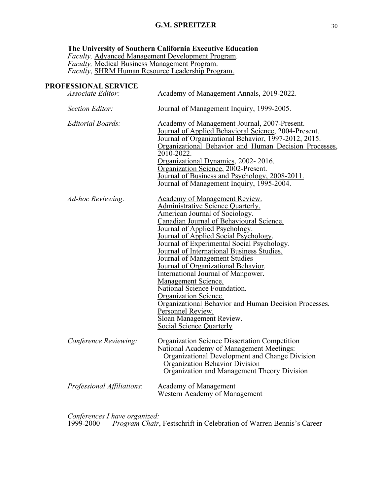### **The University of Southern California Executive Education**

*Faculty,* Advanced Management Development Program. *Faculty,* Medical Business Management Program. *Faculty*, SHRM Human Resource Leadership Program.

## **PROFESSIONAL SERVICE**

| Associate Editor:          | Academy of Management Annals, 2019-2022.                                                                                                                                                                                                                                                                                                                                                                                                                                                                                                                                                                                                                                                        |
|----------------------------|-------------------------------------------------------------------------------------------------------------------------------------------------------------------------------------------------------------------------------------------------------------------------------------------------------------------------------------------------------------------------------------------------------------------------------------------------------------------------------------------------------------------------------------------------------------------------------------------------------------------------------------------------------------------------------------------------|
| Section Editor:            | Journal of Management Inquiry, 1999-2005.                                                                                                                                                                                                                                                                                                                                                                                                                                                                                                                                                                                                                                                       |
| Editorial Boards:          | <b>Academy of Management Journal, 2007-Present.</b><br>Journal of Applied Behavioral Science, 2004-Present.<br>Journal of Organizational Behavior, 1997-2012, 2015.<br>Organizational Behavior and Human Decision Processes,<br>$2010 - 2022$ .<br>Organizational Dynamics, 2002-2016.<br>Organization Science, 2002-Present.<br>Journal of Business and Psychology, 2008-2011.<br>Journal of Management Inquiry, 1995-2004.                                                                                                                                                                                                                                                                    |
| Ad-hoc Reviewing:          | <b>Academy of Management Review.</b><br><b>Administrative Science Quarterly.</b><br><b>American Journal of Sociology.</b><br>Canadian Journal of Behavioural Science.<br>Journal of Applied Psychology.<br>Journal of Applied Social Psychology.<br>Journal of Experimental Social Psychology.<br>Journal of International Business Studies.<br>Journal of Management Studies<br>Journal of Organizational Behavior.<br><b>International Journal of Manpower.</b><br><b>Management Science.</b><br>National Science Foundation.<br>Organization Science.<br>Organizational Behavior and Human Decision Processes.<br>Personnel Review.<br>Sloan Management Review.<br>Social Science Quarterly. |
| Conference Reviewing:      | <b>Organization Science Dissertation Competition</b><br>National Academy of Management Meetings:<br>Organizational Development and Change Division<br>Organization Behavior Division<br>Organization and Management Theory Division                                                                                                                                                                                                                                                                                                                                                                                                                                                             |
| Professional Affiliations: | Academy of Management<br>Western Academy of Management                                                                                                                                                                                                                                                                                                                                                                                                                                                                                                                                                                                                                                          |

*Conferences I have organized:* 

1999-2000 *Program Chair*, Festschrift in Celebration of Warren Bennis's Career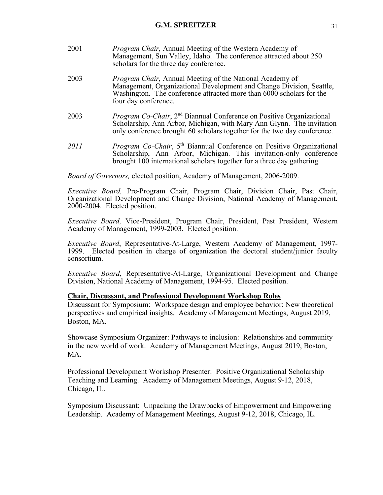| 2001 | <i>Program Chair</i> , Annual Meeting of the Western Academy of<br>Management, Sun Valley, Idaho. The conference attracted about 250<br>scholars for the three day conference.                                                                |
|------|-----------------------------------------------------------------------------------------------------------------------------------------------------------------------------------------------------------------------------------------------|
| 2003 | <i>Program Chair</i> , Annual Meeting of the National Academy of<br>Management, Organizational Development and Change Division, Seattle,<br>Washington. The conference attracted more than 6000 scholars for the<br>four day conference.      |
| 2003 | <i>Program Co-Chair</i> , 2 <sup>nd</sup> Biannual Conference on Positive Organizational<br>Scholarship, Ann Arbor, Michigan, with Mary Ann Glynn. The invitation<br>only conference brought 60 scholars together for the two day conference. |
| 2011 | <i>Program Co-Chair</i> , 5 <sup>th</sup> Biannual Conference on Positive Organizational<br>Scholarship, Ann Arbor, Michigan. This invitation-only conference                                                                                 |

*Board of Governors,* elected position, Academy of Management, 2006-2009.

*Executive Board,* Pre-Program Chair, Program Chair, Division Chair, Past Chair, Organizational Development and Change Division, National Academy of Management, 2000-2004. Elected position.

brought 100 international scholars together for a three day gathering.

*Executive Board,* Vice-President, Program Chair, President, Past President, Western Academy of Management, 1999-2003. Elected position.

*Executive Board*, Representative-At-Large, Western Academy of Management, 1997-1999. Elected position in charge of organization the doctoral student/junior faculty consortium.

*Executive Board*, Representative-At-Large, Organizational Development and Change Division, National Academy of Management, 1994-95. Elected position.

## **Chair, Discussant, and Professional Development Workshop Roles**

Discussant for Symposium: Workspace design and employee behavior: New theoretical perspectives and empirical insights. Academy of Management Meetings, August 2019, Boston, MA.

Showcase Symposium Organizer: Pathways to inclusion: Relationships and community in the new world of work. Academy of Management Meetings, August 2019, Boston, MA.

Professional Development Workshop Presenter: Positive Organizational Scholarship Teaching and Learning. Academy of Management Meetings, August 9-12, 2018, Chicago, IL.

Symposium Discussant: Unpacking the Drawbacks of Empowerment and Empowering Leadership. Academy of Management Meetings, August 9-12, 2018, Chicago, IL.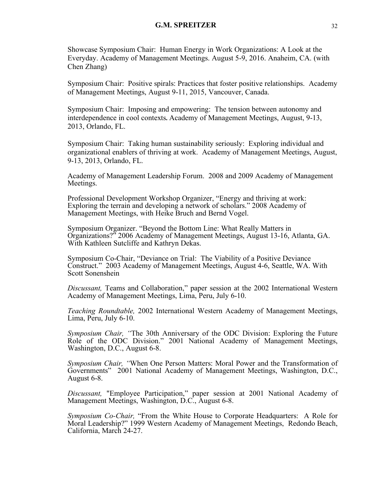Showcase Symposium Chair: Human Energy in Work Organizations: A Look at the Everyday. Academy of Management Meetings. August 5-9, 2016. Anaheim, CA. (with Chen Zhang)

Symposium Chair: Positive spirals: Practices that foster positive relationships. Academy of Management Meetings, August 9-11, 2015, Vancouver, Canada.

Symposium Chair: Imposing and empowering: The tension between autonomy and interdependence in cool contexts**.** Academy of Management Meetings, August, 9-13, 2013, Orlando, FL.

Symposium Chair: Taking human sustainability seriously: Exploring individual and organizational enablers of thriving at work. Academy of Management Meetings, August, 9-13, 2013, Orlando, FL.

Academy of Management Leadership Forum. 2008 and 2009 Academy of Management Meetings.

Professional Development Workshop Organizer, "Energy and thriving at work: Exploring the terrain and developing a network of scholars." 2008 Academy of Management Meetings, with Heike Bruch and Bernd Vogel.

Symposium Organizer. "Beyond the Bottom Line: What Really Matters in Organizations?" 2006 Academy of Management Meetings, August 13-16, Atlanta, GA. With Kathleen Sutcliffe and Kathryn Dekas.

Symposium Co-Chair, "Deviance on Trial: The Viability of a Positive Deviance Construct." 2003 Academy of Management Meetings, August 4-6, Seattle, WA. With Scott Sonenshein

*Discussant,* Teams and Collaboration," paper session at the 2002 International Western Academy of Management Meetings, Lima, Peru, July 6-10.

*Teaching Roundtable,* 2002 International Western Academy of Management Meetings, Lima, Peru, July 6-10.

*Symposium Chair, "*The 30th Anniversary of the ODC Division: Exploring the Future Role of the ODC Division." 2001 National Academy of Management Meetings, Washington, D.C., August 6-8.

*Symposium Chair, "*When One Person Matters: Moral Power and the Transformation of Governments" 2001 National Academy of Management Meetings, Washington, D.C., August 6-8.

*Discussant,* "Employee Participation," paper session at 2001 National Academy of Management Meetings, Washington, D.C., August 6-8.

*Symposium Co-Chair,* "From the White House to Corporate Headquarters: A Role for Moral Leadership?" 1999 Western Academy of Management Meetings, Redondo Beach, California, March 24-27.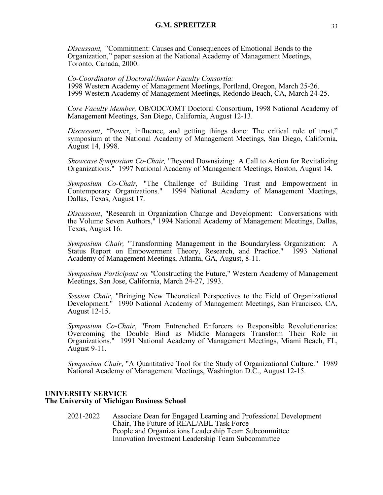*Discussant, "*Commitment: Causes and Consequences of Emotional Bonds to the Organization," paper session at the National Academy of Management Meetings, Toronto, Canada, 2000.

#### *Co-Coordinator of Doctoral/Junior Faculty Consortia:*

1998 Western Academy of Management Meetings, Portland, Oregon, March 25-26. 1999 Western Academy of Management Meetings, Redondo Beach, CA, March 24-25.

*Core Faculty Member,* OB/ODC/OMT Doctoral Consortium, 1998 National Academy of Management Meetings, San Diego, California, August 12-13.

*Discussant*, "Power, influence, and getting things done: The critical role of trust," symposium at the National Academy of Management Meetings, San Diego, California, August 14, 1998.

*Showcase Symposium Co-Chair,* "Beyond Downsizing: A Call to Action for Revitalizing Organizations." 1997 National Academy of Management Meetings, Boston, August 14.

*Symposium Co-Chair,* "The Challenge of Building Trust and Empowerment in Contemporary Organizations." 1994 National Academy of Management Meetings, Dallas, Texas, August 17.

*Discussant*, "Research in Organization Change and Development: Conversations with the Volume Seven Authors," 1994 National Academy of Management Meetings, Dallas, Texas, August 16.

*Symposium Chair,* "Transforming Management in the Boundaryless Organization: A Status Report on Empowerment Theory, Research, and Practice." 1993 National Academy of Management Meetings, Atlanta, GA, August, 8-11.

*Symposium Participant on "*Constructing the Future," Western Academy of Management Meetings, San Jose, California, March 24-27, 1993.

*Session Chair*, "Bringing New Theoretical Perspectives to the Field of Organizational Development." 1990 National Academy of Management Meetings, San Francisco, CA, August 12-15.

*Symposium Co-Chair*, "From Entrenched Enforcers to Responsible Revolutionaries: Overcoming the Double Bind as Middle Managers Transform Their Role in Organizations." 1991 National Academy of Management Meetings, Miami Beach, FL, August 9-11.

*Symposium Chair*, "A Quantitative Tool for the Study of Organizational Culture." 1989 National Academy of Management Meetings, Washington D.C., August 12-15.

### **UNIVERSITY SERVICE The University of Michigan Business School**

2021-2022 Associate Dean for Engaged Learning and Professional Development Chair, The Future of REAL/ABL Task Force People and Organizations Leadership Team Subcommittee Innovation Investment Leadership Team Subcommittee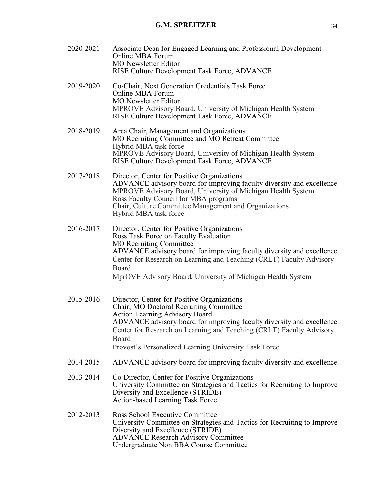- 2020-2021 Associate Dean for Engaged Learning and Professional Development Online MBA Forum MO Newsletter Editor RISE Culture Development Task Force, ADVANCE
- 2019-2020 Co-Chair, Next Generation Credentials Task Force Online MBA Forum MO Newsletter Editor MPROVE Advisory Board, University of Michigan Health System RISE Culture Development Task Force, ADVANCE
- 2018-2019 Area Chair, Management and Organizations MO Recruiting Committee and MO Retreat Committee Hybrid MBA task force MPROVE Advisory Board, University of Michigan Health System RISE Culture Development Task Force, ADVANCE
- 2017-2018 Director, Center for Positive Organizations ADVANCE advisory board for improving faculty diversity and excellence MPROVE Advisory Board, University of Michigan Health System Ross Faculty Council for MBA programs Chair, Culture Committee Management and Organizations Hybrid MBA task force
- 2016-2017 Director, Center for Positive Organizations Ross Task Force on Faculty Evaluation MO Recruiting Committee ADVANCE advisory board for improving faculty diversity and excellence Center for Research on Learning and Teaching (CRLT) Faculty Advisory Board MprOVE Advisory Board, University of Michigan Health System
- 2015-2016 Director, Center for Positive Organizations Chair, MO Doctoral Recruiting Committee Action Learning Advisory Board ADVANCE advisory board for improving faculty diversity and excellence Center for Research on Learning and Teaching (CRLT) Faculty Advisory Board Provost's Personalized Learning University Task Force
	-
- 2014-2015 ADVANCE advisory board for improving faculty diversity and excellence
- 2013-2014 Co-Director, Center for Positive Organizations University Committee on Strategies and Tactics for Recruiting to Improve Diversity and Excellence (STRIDE) Action-based Learning Task Force
- 2012-2013 Ross School Executive Committee University Committee on Strategies and Tactics for Recruiting to Improve Diversity and Excellence (STRIDE) ADVANCE Research Advisory Committee Undergraduate Non BBA Course Committee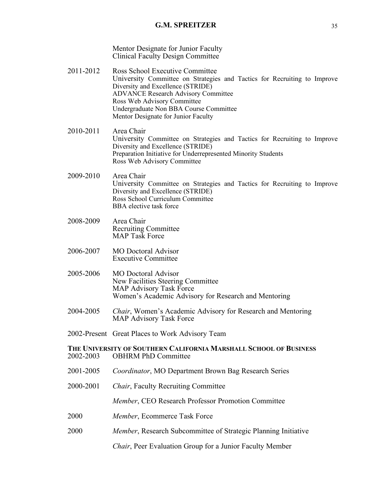Mentor Designate for Junior Faculty Clinical Faculty Design Committee

- 2011-2012 Ross School Executive Committee University Committee on Strategies and Tactics for Recruiting to Improve Diversity and Excellence (STRIDE) ADVANCE Research Advisory Committee Ross Web Advisory Committee Undergraduate Non BBA Course Committee Mentor Designate for Junior Faculty
- 2010-2011 Area Chair University Committee on Strategies and Tactics for Recruiting to Improve Diversity and Excellence (STRIDE) Preparation Initiative for Underrepresented Minority Students Ross Web Advisory Committee
- 2009-2010 Area Chair University Committee on Strategies and Tactics for Recruiting to Improve Diversity and Excellence (STRIDE) Ross School Curriculum Committee BBA elective task force
- 2008-2009 Area Chair Recruiting Committee MAP Task Force
- 2006-2007 MO Doctoral Advisor Executive Committee
- 2005-2006 MO Doctoral Advisor New Facilities Steering Committee MAP Advisory Task Force Women's Academic Advisory for Research and Mentoring
- 2004-2005 *Chair*, Women's Academic Advisory for Research and Mentoring MAP Advisory Task Force
- 2002-Present Great Places to Work Advisory Team

### **THE UNIVERSITY OF SOUTHERN CALIFORNIA MARSHALL SCHOOL OF BUSINESS** 2002-2003 OBHRM PhD Committee

- 2001-2005 *Coordinator*, MO Department Brown Bag Research Series
- 2000-2001 *Chair*, Faculty Recruiting Committee

*Member*, CEO Research Professor Promotion Committee

- 2000 *Member*, Ecommerce Task Force
- 2000 *Member*, Research Subcommittee of Strategic Planning Initiative

*Chair*, Peer Evaluation Group for a Junior Faculty Member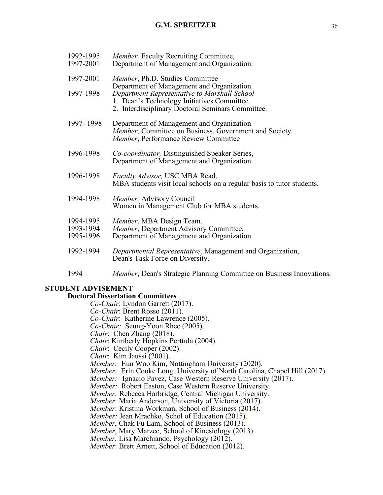| 1992-1995<br>1997-2001 | <i>Member</i> , Faculty Recruiting Committee,<br>Department of Management and Organization.                                                      |
|------------------------|--------------------------------------------------------------------------------------------------------------------------------------------------|
| 1997-2001              | Member, Ph.D. Studies Committee<br>Department of Management and Organization.                                                                    |
| 1997-1998              | Department Representative to Marshall School<br>1. Dean's Technology Initiatives Committee.<br>2. Interdisciplinary Doctoral Seminars Committee. |
| 1997-1998              | Department of Management and Organization<br>Member, Committee on Business, Government and Society<br>Member, Performance Review Committee       |
| 1996-1998              | Co-coordinator, Distinguished Speaker Series,<br>Department of Management and Organization.                                                      |
| 1996-1998              | Faculty Advisor, USC MBA Read,<br>MBA students visit local schools on a regular basis to tutor students.                                         |
| 1994-1998              | Member, Advisory Council<br>Women in Management Club for MBA students.                                                                           |
| 1994-1995<br>1993-1994 | Member, MBA Design Team.<br>Member, Department Advisory Committee,                                                                               |
| 1995-1996              | Department of Management and Organization.                                                                                                       |
| 1992-1994              | Departmental Representative, Management and Organization,<br>Dean's Task Force on Diversity.                                                     |
| 1994                   | Member, Dean's Strategic Planning Committee on Business Innovations.                                                                             |

# **STUDENT ADVISEMENT**

# **Doctoral Dissertation Committees**

*Co-Chair*: Lyndon Garrett (2017). *Co-Chair*: Brent Rosso (2011). *Co-Chair*: Katherine Lawrence (2005). *Co-Chair:* Seung-Yoon Rhee (2005). *Chair*: Chen Zhang (2018). *Chair*: Kimberly Hopkins Perttula (2004). *Chair*: Cecily Cooper (2002). *Chair*: Kim Jaussi (2001). *Member:* Eun Woo Kim, Nottingham University (2020). *Member*: Erin Cooke Long. University of North Carolina, Chapel Hill (2017). *Member:* Ignacio Pavez, Case Western Reserve University (2017). *Member:* Robert Easton, Case Western Reserve University. *Member:* Rebecca Harbridge, Central Michigan University. Member: Maria Anderson, University of Victoria (2017).<br>Member: Kristina Workman, School of Business (2014).<br>Member: Jean Mrachko, Schol of Education (2015).<br>Member, Chak Fu Lam, School of Business (2013).<br>Member, Mary Marz *Member*: Brett Arnett, School of Education (2012).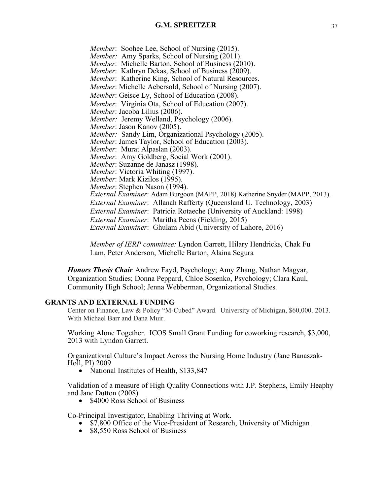*Member*: Soohee Lee, School of Nursing (2015). *Member:* Amy Sparks, School of Nursing (2011). *Member*: Michelle Barton, School of Business (2010). *Member*: Kathryn Dekas, School of Business (2009). *Member*: Katherine King, School of Natural Resources. *Member*: Michelle Aebersold, School of Nursing (2007). *Member*: Geisce Ly, School of Education (2008). *Member*: Virginia Ota, School of Education (2007). *Member*: Jacoba Lilius (2006). *Member:* Jeremy Welland, Psychology (2006). *Member*: Jason Kanov (2005). *Member:* Sandy Lim, Organizational Psychology (2005). *Member*: James Taylor, School of Education (2003). *Member*: Murat Alpaslan (2003). *Member*: Amy Goldberg, Social Work (2001). *Member*: Suzanne de Janasz (1998). *Member*: Victoria Whiting (1997). *Member*: Mark Kizilos (1995). *Member*: Stephen Nason (1994). *External Examiner*: Adam Burgoon (MAPP, 2018) Katherine Snyder (MAPP, 2013). *External Examiner*: Allanah Rafferty (Queensland U. Technology, 2003) *External Examiner*: Patricia Rotaeche (University of Auckland: 1998) *External Examiner*: Maritha Peens (Fielding, 2015) *External Examiner*: Ghulam Abid (University of Lahore, 2016)

*Member of IERP committee:* Lyndon Garrett, Hilary Hendricks, Chak Fu Lam, Peter Anderson, Michelle Barton, Alaina Segura

*Honors Thesis Chair* Andrew Fayd, Psychology; Amy Zhang, Nathan Magyar, Organization Studies; Donna Peppard, Chloe Sosenko, Psychology; Clara Kaul, Community High School; Jenna Webberman, Organizational Studies.

## **GRANTS AND EXTERNAL FUNDING**

Center on Finance, Law & Policy "M-Cubed" Award. University of Michigan, \$60,000. 2013. With Michael Barr and Dana Muir.

Working Alone Together. ICOS Small Grant Funding for coworking research, \$3,000, 2013 with Lyndon Garrett.

Organizational Culture's Impact Across the Nursing Home Industry (Jane Banaszak-Holl, PI) 2009

• National Institutes of Health, \$133,847

Validation of a measure of High Quality Connections with J.P. Stephens, Emily Heaphy and Jane Dutton (2008)

• \$4000 Ross School of Business

Co-Principal Investigator, Enabling Thriving at Work.

- \$7,800 Office of the Vice-President of Research, University of Michigan
- \$8,550 Ross School of Business